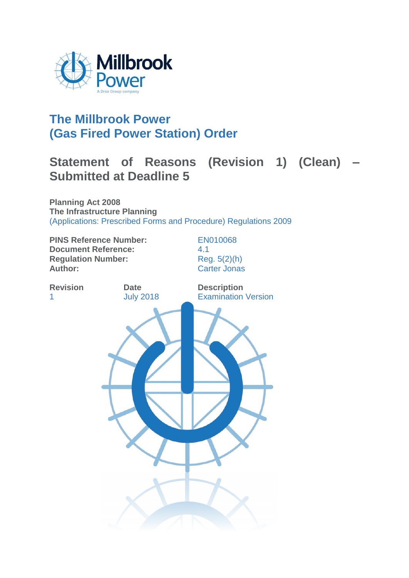

## **The Millbrook Power (Gas Fired Power Station) Order**

# **Statement of Reasons (Revision 1) (Clean) – Submitted at Deadline 5**

**Planning Act 2008 The Infrastructure Planning**  (Applications: Prescribed Forms and Procedure) Regulations 2009

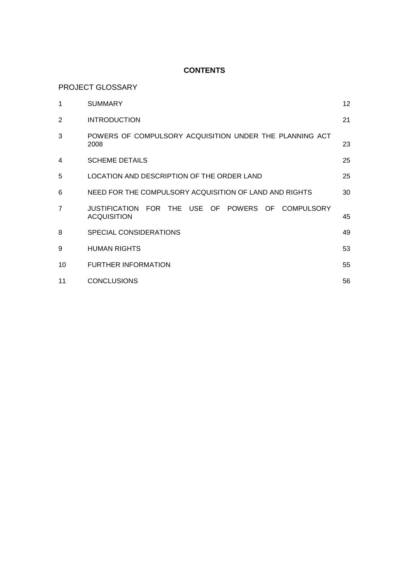## **CONTENTS**

PROJECT GLOSSARY

| 1              | <b>SUMMARY</b>                                                          | 12 <sup>°</sup> |
|----------------|-------------------------------------------------------------------------|-----------------|
| 2              | <b>INTRODUCTION</b>                                                     | 21              |
| 3              | POWERS OF COMPULSORY ACQUISITION UNDER THE PLANNING ACT<br>2008         | 23              |
| 4              | <b>SCHEME DETAILS</b>                                                   | 25              |
| 5              | LOCATION AND DESCRIPTION OF THE ORDER LAND                              | 25              |
| 6              | NEED FOR THE COMPULSORY ACQUISITION OF LAND AND RIGHTS                  | 30              |
| $\overline{7}$ | JUSTIFICATION FOR THE USE OF POWERS OF COMPULSORY<br><b>ACQUISITION</b> | 45              |
| 8              | SPECIAL CONSIDERATIONS                                                  | 49              |
| 9              | <b>HUMAN RIGHTS</b>                                                     | 53              |
| 10             | <b>FURTHER INFORMATION</b>                                              | 55              |
| 11             | <b>CONCLUSIONS</b>                                                      | 56              |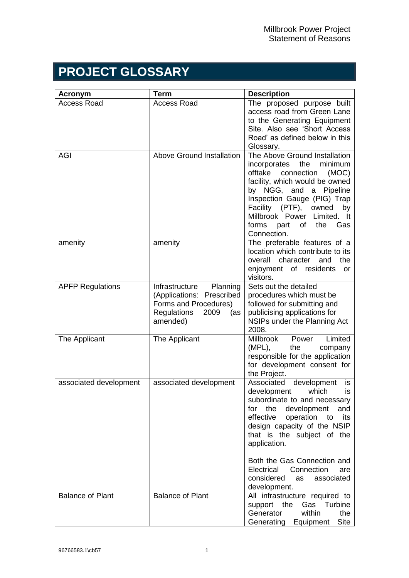# **PROJECT GLOSSARY**

| <b>Acronym</b>          | Term                                                                                                                              | <b>Description</b>                                                                                                                                                                                                                                                                                          |
|-------------------------|-----------------------------------------------------------------------------------------------------------------------------------|-------------------------------------------------------------------------------------------------------------------------------------------------------------------------------------------------------------------------------------------------------------------------------------------------------------|
| <b>Access Road</b>      | <b>Access Road</b>                                                                                                                | The proposed purpose built<br>access road from Green Lane<br>to the Generating Equipment<br>Site. Also see 'Short Access<br>Road' as defined below in this<br>Glossary.                                                                                                                                     |
| <b>AGI</b>              | <b>Above Ground Installation</b>                                                                                                  | The Above Ground Installation<br>the<br>minimum<br>incorporates<br>offtake<br>connection<br>(MOC)<br>facility, which would be owned<br>by NGG, and a Pipeline<br>Inspection Gauge (PIG) Trap<br>Facility (PTF), owned<br>by<br>Millbrook Power Limited. It<br>forms<br>of the<br>part<br>Gas<br>Connection. |
| amenity                 | amenity                                                                                                                           | The preferable features of a<br>location which contribute to its<br>character<br>the<br>overall<br>and<br>enjoyment of residents<br>or<br>visitors.                                                                                                                                                         |
| <b>APFP Regulations</b> | Planning<br>Infrastructure<br>(Applications: Prescribed<br>Forms and Procedures)<br><b>Regulations</b><br>2009<br>(as<br>amended) | Sets out the detailed<br>procedures which must be<br>followed for submitting and<br>publicising applications for<br>NSIPs under the Planning Act<br>2008.                                                                                                                                                   |
| The Applicant           | The Applicant                                                                                                                     | Limited<br>Millbrook<br>Power<br>(MPL),<br>the<br>company<br>responsible for the application<br>for development consent for<br>the Project.                                                                                                                                                                 |
| associated development  | associated development                                                                                                            | Associated<br>development<br>is.<br>development<br>which<br>is.<br>subordinate to and necessary<br>the<br>development<br>and<br>for<br>effective<br>operation<br>its<br>to<br>design capacity of the NSIP<br>that is the subject of the<br>application.                                                     |
|                         |                                                                                                                                   | Both the Gas Connection and<br>Connection<br>Electrical<br>are<br>considered<br>associated<br>as<br>development.                                                                                                                                                                                            |
| <b>Balance of Plant</b> | <b>Balance of Plant</b>                                                                                                           | All infrastructure required to<br>Gas Turbine<br>support the<br>within<br>Generator<br>the<br>Generating Equipment<br>Site                                                                                                                                                                                  |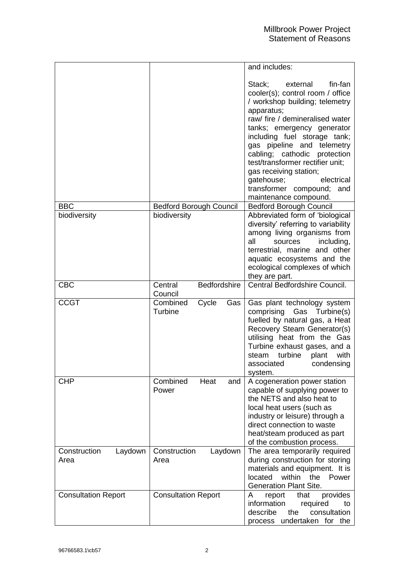|                                 |                                     | and includes:                                                                                                                                                                                                                                                                                                                                                                                                                    |
|---------------------------------|-------------------------------------|----------------------------------------------------------------------------------------------------------------------------------------------------------------------------------------------------------------------------------------------------------------------------------------------------------------------------------------------------------------------------------------------------------------------------------|
|                                 |                                     | Stack;<br>fin-fan<br>external<br>cooler(s); control room / office<br>/ workshop building; telemetry<br>apparatus;<br>raw/ fire / demineralised water<br>tanks; emergency generator<br>including fuel storage tank;<br>gas pipeline and telemetry<br>cabling; cathodic protection<br>test/transformer rectifier unit;<br>gas receiving station;<br>electrical<br>gatehouse;<br>transformer compound; and<br>maintenance compound. |
| <b>BBC</b>                      | <b>Bedford Borough Council</b>      | <b>Bedford Borough Council</b>                                                                                                                                                                                                                                                                                                                                                                                                   |
| biodiversity                    | biodiversity                        | Abbreviated form of 'biological<br>diversity' referring to variability<br>among living organisms from<br>all<br>including,<br>sources<br>terrestrial, marine and other<br>aquatic ecosystems and the<br>ecological complexes of which<br>they are part.                                                                                                                                                                          |
| <b>CBC</b>                      | Bedfordshire<br>Central<br>Council  | Central Bedfordshire Council.                                                                                                                                                                                                                                                                                                                                                                                                    |
| <b>CCGT</b>                     | Combined<br>Cycle<br>Gas<br>Turbine | Gas plant technology system<br>comprising<br>Gas Turbine(s)<br>fuelled by natural gas, a Heat<br>Recovery Steam Generator(s)<br>utilising heat from the Gas<br>Turbine exhaust gases, and a<br>steam turbine<br>plant<br>with<br>condensing<br>associated<br>system.                                                                                                                                                             |
| <b>CHP</b>                      | Combined<br>Heat<br>and<br>Power    | A cogeneration power station<br>capable of supplying power to<br>the NETS and also heat to<br>local heat users (such as<br>industry or leisure) through a<br>direct connection to waste<br>heat/steam produced as part<br>of the combustion process.                                                                                                                                                                             |
| Construction<br>Laydown<br>Area | Construction<br>Laydown<br>Area     | The area temporarily required<br>during construction for storing<br>materials and equipment. It is<br>located<br>within<br>the<br>Power<br><b>Generation Plant Site.</b>                                                                                                                                                                                                                                                         |
| <b>Consultation Report</b>      | <b>Consultation Report</b>          | provides<br>A<br>report<br>that<br>information<br>required<br>to<br>describe<br>the<br>consultation<br>process undertaken for the                                                                                                                                                                                                                                                                                                |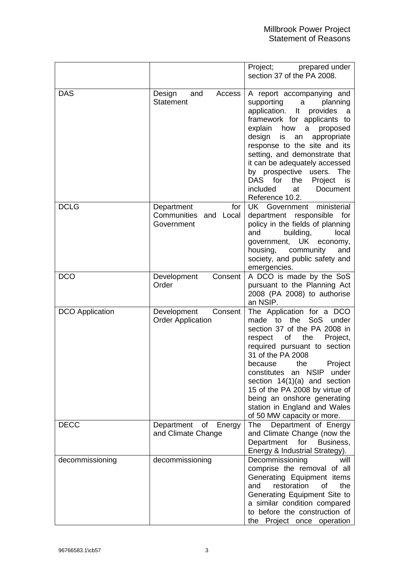|                        |                                                          | Project;<br>prepared under<br>section 37 of the PA 2008.                                                                                                                                                                                                                                                                                                                                                                 |
|------------------------|----------------------------------------------------------|--------------------------------------------------------------------------------------------------------------------------------------------------------------------------------------------------------------------------------------------------------------------------------------------------------------------------------------------------------------------------------------------------------------------------|
| <b>DAS</b>             | and<br>Design<br>Access<br><b>Statement</b>              | A report accompanying and<br>supporting<br>a a<br>planning<br>application.<br>It provides<br>a<br>framework for applicants to<br>explain how<br>a<br>proposed<br>design<br>appropriate<br>is<br>an<br>response to the site and its<br>setting, and demonstrate that<br>it can be adequately accessed<br>by prospective users.<br>The<br>DAS for<br>the<br>Project<br>is<br>included<br>at<br>Document<br>Reference 10.2. |
| <b>DCLG</b>            | Department<br>for<br>Communities and Local<br>Government | UK Government<br>ministerial<br>department responsible<br>for<br>policy in the fields of planning<br>local<br>and<br>building,<br>government, UK<br>economy,<br>housing,<br>community<br>and<br>society, and public safety and<br>emergencies.                                                                                                                                                                           |
| <b>DCO</b>             | Development<br>Consent<br>Order                          | A DCO is made by the SoS<br>pursuant to the Planning Act<br>2008 (PA 2008) to authorise<br>an NSIP.                                                                                                                                                                                                                                                                                                                      |
| <b>DCO</b> Application | Development<br>Consent<br><b>Order Application</b>       | The Application for a DCO<br>SoS<br>to the<br>made<br>under<br>section 37 of the PA 2008 in<br>of<br>the<br>respect<br>Project,<br>required pursuant to section<br>31 of the PA 2008<br>Project<br>because<br>the<br>constitutes an NSIP under<br>section $14(1)(a)$ and section<br>15 of the PA 2008 by virtue of<br>being an onshore generating<br>station in England and Wales<br>of 50 MW capacity or more.          |
| <b>DECC</b>            | of<br>Department<br>Energy<br>and Climate Change         | Department of Energy<br>The<br>and Climate Change (now the<br>Department<br>for Business,<br>Energy & Industrial Strategy).                                                                                                                                                                                                                                                                                              |
| decommissioning        | decommissioning                                          | Decommissioning<br>will<br>comprise the removal of all<br>Generating Equipment items<br>of<br>the<br>restoration<br>and<br>Generating Equipment Site to<br>a similar condition compared<br>to before the construction of<br>the Project once operation                                                                                                                                                                   |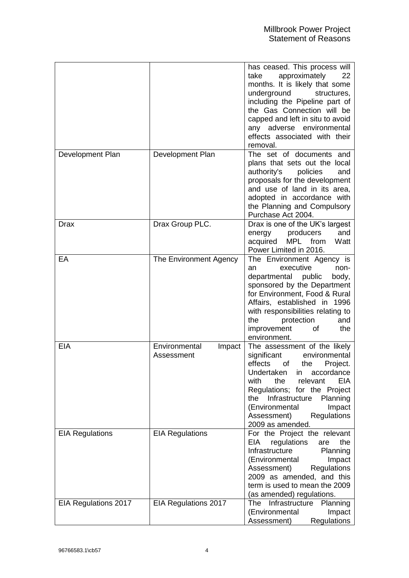|                        |                                       | has ceased. This process will<br>take<br>approximately<br>22<br>months. It is likely that some<br>underground<br>structures,<br>including the Pipeline part of<br>the Gas Connection will be<br>capped and left in situ to avoid<br>any adverse environmental<br>effects associated with their<br>removal.               |
|------------------------|---------------------------------------|--------------------------------------------------------------------------------------------------------------------------------------------------------------------------------------------------------------------------------------------------------------------------------------------------------------------------|
| Development Plan       | Development Plan                      | The set of documents and<br>plans that sets out the local<br>authority's<br>policies<br>and<br>proposals for the development<br>and use of land in its area,<br>adopted in accordance with<br>the Planning and Compulsory<br>Purchase Act 2004.                                                                          |
| Drax                   | Drax Group PLC.                       | Drax is one of the UK's largest<br>producers<br>and<br>energy<br>MPL from<br>acquired<br>Watt<br>Power Limited in 2016.                                                                                                                                                                                                  |
| EA                     | The Environment Agency                | The Environment Agency is<br>executive<br>non-<br>an<br>departmental public<br>body,<br>sponsored by the Department<br>for Environment, Food & Rural<br>Affairs, established in 1996<br>with responsibilities relating to<br>the<br>protection<br>and<br>the<br>improvement<br>0f<br>environment.                        |
| <b>EIA</b>             | Environmental<br>Impact<br>Assessment | The assessment of the likely<br>environmental<br>significant<br>effects<br>of<br>the<br>Project.<br>Undertaken in accordance<br>with<br>the<br>EIA<br>relevant<br>Regulations; for the Project<br>Infrastructure<br>the<br>Planning<br>(Environmental<br>Impact<br>Assessment)<br><b>Regulations</b><br>2009 as amended. |
| <b>EIA Regulations</b> | <b>EIA Regulations</b>                | For the Project the relevant<br>EIA<br>regulations<br>the<br>are<br>Infrastructure<br>Planning<br>(Environmental<br>Impact<br><b>Regulations</b><br>Assessment)<br>2009 as amended, and this<br>term is used to mean the 2009<br>(as amended) regulations.                                                               |
| EIA Regulations 2017   | EIA Regulations 2017                  | The Infrastructure<br>Planning<br>(Environmental<br>Impact<br>Regulations<br>Assessment)                                                                                                                                                                                                                                 |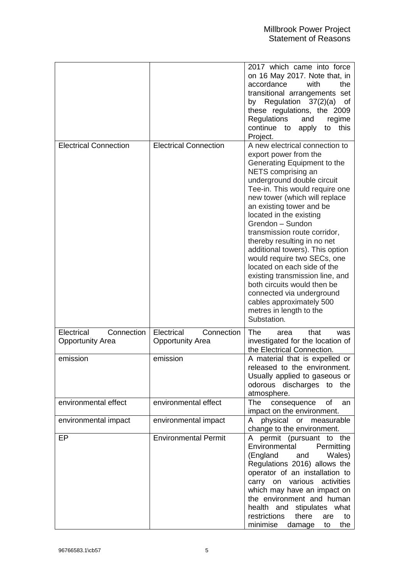|                                                     |                                                     | 2017 which came into force<br>on 16 May 2017. Note that, in<br>accordance<br>the<br>with<br>transitional arrangements set<br>by Regulation 37(2)(a) of<br>these regulations, the 2009<br>Regulations<br>and<br>regime<br>this<br>continue to<br>apply<br>to<br>Project.                                                                                                                                                                                                                                                                                                                                                       |
|-----------------------------------------------------|-----------------------------------------------------|-------------------------------------------------------------------------------------------------------------------------------------------------------------------------------------------------------------------------------------------------------------------------------------------------------------------------------------------------------------------------------------------------------------------------------------------------------------------------------------------------------------------------------------------------------------------------------------------------------------------------------|
| <b>Electrical Connection</b>                        | <b>Electrical Connection</b>                        | A new electrical connection to<br>export power from the<br>Generating Equipment to the<br>NETS comprising an<br>underground double circuit<br>Tee-in. This would require one<br>new tower (which will replace<br>an existing tower and be<br>located in the existing<br>Grendon - Sundon<br>transmission route corridor,<br>thereby resulting in no net<br>additional towers). This option<br>would require two SECs, one<br>located on each side of the<br>existing transmission line, and<br>both circuits would then be<br>connected via underground<br>cables approximately 500<br>metres in length to the<br>Substation. |
| Electrical<br>Connection<br><b>Opportunity Area</b> | Electrical<br>Connection<br><b>Opportunity Area</b> | <b>The</b><br>that<br>area<br>was<br>investigated for the location of<br>the Electrical Connection.                                                                                                                                                                                                                                                                                                                                                                                                                                                                                                                           |
| emission                                            | emission                                            | A material that is expelled or<br>released to the environment.<br>Usually applied to gaseous or<br>odorous discharges to the<br>atmosphere.                                                                                                                                                                                                                                                                                                                                                                                                                                                                                   |
| environmental effect                                | environmental effect                                | The consequence<br>of<br>an<br>impact on the environment.                                                                                                                                                                                                                                                                                                                                                                                                                                                                                                                                                                     |
| environmental impact                                | environmental impact                                | physical or measurable<br>A<br>change to the environment.                                                                                                                                                                                                                                                                                                                                                                                                                                                                                                                                                                     |
| EP                                                  | <b>Environmental Permit</b>                         | permit (pursuant to the<br>A.<br>Environmental<br>Permitting<br>(England<br>Wales)<br>and<br>Regulations 2016) allows the<br>operator of an installation to<br>carry on various activities<br>which may have an impact on<br>the environment and human<br>health and stipulates what<br>there<br>restrictions<br>are<br>to<br>minimise<br>the<br>damage<br>to                                                                                                                                                                                                                                                                 |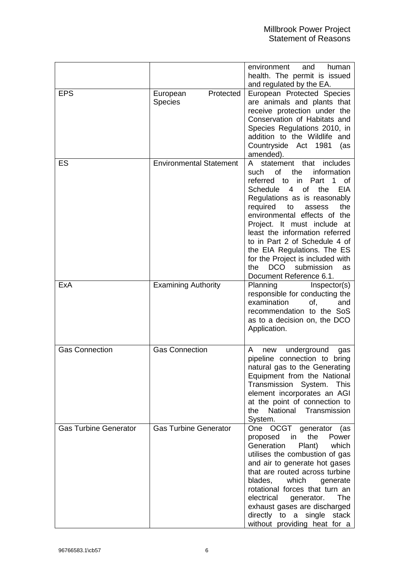|                              |                                         | environment<br>and<br>human<br>health. The permit is issued<br>and regulated by the EA.                                                                                                                                                                                                                                                                                                                                                                                                 |
|------------------------------|-----------------------------------------|-----------------------------------------------------------------------------------------------------------------------------------------------------------------------------------------------------------------------------------------------------------------------------------------------------------------------------------------------------------------------------------------------------------------------------------------------------------------------------------------|
| <b>EPS</b>                   | Protected<br>European<br><b>Species</b> | European Protected Species<br>are animals and plants that<br>receive protection under the<br>Conservation of Habitats and<br>Species Regulations 2010, in<br>addition to the Wildlife and<br>Countryside Act 1981<br>(as<br>amended).                                                                                                                                                                                                                                                   |
| ES                           | <b>Environmental Statement</b>          | statement that<br>includes<br>A<br><b>of</b><br>information<br>the<br>such<br>referred to in<br>Part<br>1 of<br>Schedule 4<br>of<br><b>EIA</b><br>the<br>Regulations as is reasonably<br>required<br>to<br>the<br>assess<br>environmental effects of the<br>Project. It must include at<br>least the information referred<br>to in Part 2 of Schedule 4 of<br>the EIA Regulations. The ES<br>for the Project is included with<br>DCO submission<br>the<br>as<br>Document Reference 6.1. |
| ExA                          | <b>Examining Authority</b>              | Planning<br>Inspector(s)<br>responsible for conducting the<br>examination<br>of,<br>and<br>recommendation to the SoS<br>as to a decision on, the DCO<br>Application.                                                                                                                                                                                                                                                                                                                    |
| <b>Gas Connection</b>        | <b>Gas Connection</b>                   | underground<br>A<br>new<br>gas<br>pipeline connection to bring<br>natural gas to the Generating<br>Equipment from the National<br>Transmission System.<br>This<br>element incorporates an AGI<br>at the point of connection to<br>National Transmission<br>the<br>System.                                                                                                                                                                                                               |
| <b>Gas Turbine Generator</b> | <b>Gas Turbine Generator</b>            | OCGT generator (as<br>One<br>the<br>in<br>Power<br>proposed<br>Generation<br>which<br>Plant)<br>utilises the combustion of gas<br>and air to generate hot gases<br>that are routed across turbine<br>blades,<br>which<br>generate<br>rotational forces that turn an<br>electrical<br>The<br>generator.<br>exhaust gases are discharged<br>directly to a single<br>stack<br>without providing heat for a                                                                                 |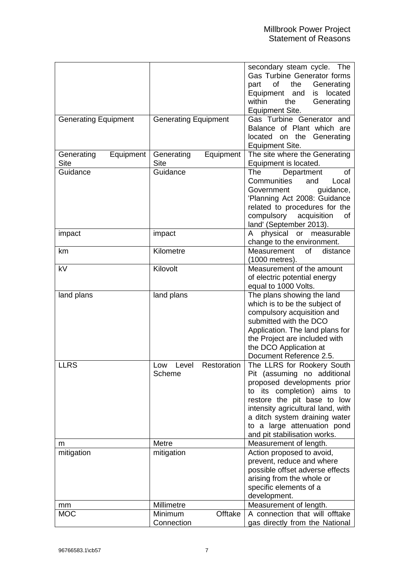|                                        |                                        | secondary steam cycle. The<br>Gas Turbine Generator forms<br>of<br>the<br>Generating<br>part<br>Equipment and<br>located<br>is<br>within<br>the<br>Generating<br><b>Equipment Site.</b>                                                                                                    |
|----------------------------------------|----------------------------------------|--------------------------------------------------------------------------------------------------------------------------------------------------------------------------------------------------------------------------------------------------------------------------------------------|
| <b>Generating Equipment</b>            | <b>Generating Equipment</b>            | Gas Turbine Generator and<br>Balance of Plant which are<br>located on the Generating<br><b>Equipment Site.</b>                                                                                                                                                                             |
| Generating<br>Equipment<br><b>Site</b> | Generating<br>Equipment<br><b>Site</b> | The site where the Generating<br>Equipment is located.                                                                                                                                                                                                                                     |
| Guidance                               | Guidance                               | The<br>Department<br>οf<br>Communities<br>and<br>Local<br>Government<br>guidance,<br>'Planning Act 2008: Guidance<br>related to procedures for the<br>compulsory<br>acquisition<br>οf<br>land' (September 2013).                                                                           |
| impact                                 | impact                                 | physical<br>or measurable<br>A<br>change to the environment.                                                                                                                                                                                                                               |
| km                                     | Kilometre                              | of<br>distance<br>Measurement<br>(1000 metres).                                                                                                                                                                                                                                            |
| kV                                     | Kilovolt                               | Measurement of the amount<br>of electric potential energy<br>equal to 1000 Volts.                                                                                                                                                                                                          |
| land plans                             | land plans                             | The plans showing the land<br>which is to be the subject of<br>compulsory acquisition and<br>submitted with the DCO<br>Application. The land plans for<br>the Project are included with<br>the DCO Application at<br>Document Reference 2.5.                                               |
| <b>LLRS</b>                            | Restoration<br>Level<br>Low<br>Scheme  | The LLRS for Rookery South<br>Pit (assuming no additional<br>proposed developments prior<br>to its completion) aims to<br>restore the pit base to low<br>intensity agricultural land, with<br>a ditch system draining water<br>to a large attenuation pond<br>and pit stabilisation works. |
| m                                      | Metre                                  | Measurement of length.                                                                                                                                                                                                                                                                     |
| mitigation                             | mitigation                             | Action proposed to avoid,<br>prevent, reduce and where<br>possible offset adverse effects<br>arising from the whole or<br>specific elements of a<br>development.                                                                                                                           |
| mm                                     | Millimetre                             | Measurement of length.                                                                                                                                                                                                                                                                     |
| <b>MOC</b>                             | Offtake<br>Minimum<br>Connection       | A connection that will offtake<br>gas directly from the National                                                                                                                                                                                                                           |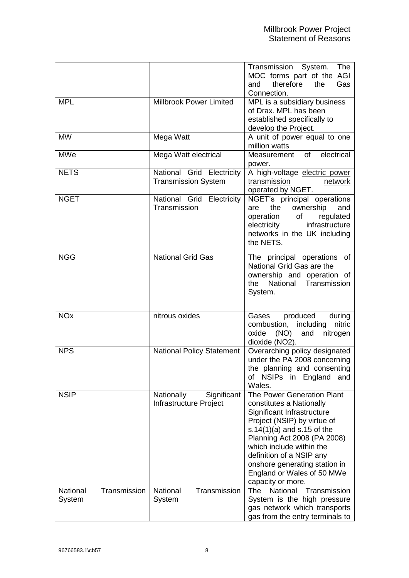|                                    |                                                         | Transmission System.<br>The<br>MOC forms part of the AGI<br>therefore<br>and<br>the<br>Gas<br>Connection.                                                                                                                                                                                                                       |
|------------------------------------|---------------------------------------------------------|---------------------------------------------------------------------------------------------------------------------------------------------------------------------------------------------------------------------------------------------------------------------------------------------------------------------------------|
| <b>MPL</b>                         | Millbrook Power Limited                                 | MPL is a subsidiary business<br>of Drax. MPL has been<br>established specifically to<br>develop the Project.                                                                                                                                                                                                                    |
| <b>MW</b>                          | Mega Watt                                               | A unit of power equal to one<br>million watts                                                                                                                                                                                                                                                                                   |
| <b>MWe</b>                         | Mega Watt electrical                                    | Measurement of<br>electrical<br>power.                                                                                                                                                                                                                                                                                          |
| <b>NETS</b>                        | National Grid Electricity<br><b>Transmission System</b> | A high-voltage electric power<br>transmission<br>network<br>operated by NGET.                                                                                                                                                                                                                                                   |
| <b>NGET</b>                        | National Grid Electricity<br>Transmission               | NGET's principal operations<br>the<br>ownership<br>are<br>and<br>operation<br>of<br>regulated<br>infrastructure<br>electricity<br>networks in the UK including<br>the NETS.                                                                                                                                                     |
| <b>NGG</b>                         | <b>National Grid Gas</b>                                | The principal operations of<br>National Grid Gas are the<br>ownership and operation of<br>National Transmission<br>the<br>System.                                                                                                                                                                                               |
| <b>NO<sub>x</sub></b>              | nitrous oxides                                          | produced<br>during<br>Gases<br>combustion, including<br>nitric<br>oxide (NO)<br>and<br>nitrogen<br>dioxide (NO2).                                                                                                                                                                                                               |
| <b>NPS</b>                         | <b>National Policy Statement</b>                        | Overarching policy designated<br>under the PA 2008 concerning<br>the planning and consenting<br>of NSIPs in England<br>and<br>Wales.                                                                                                                                                                                            |
| <b>NSIP</b>                        | Significant<br>Nationally<br>Infrastructure Project     | The Power Generation Plant<br>constitutes a Nationally<br>Significant Infrastructure<br>Project (NSIP) by virtue of<br>s.14 $(1)(a)$ and s.15 of the<br>Planning Act 2008 (PA 2008)<br>which include within the<br>definition of a NSIP any<br>onshore generating station in<br>England or Wales of 50 MWe<br>capacity or more. |
| Transmission<br>National<br>System | National<br>Transmission<br>System                      | National<br>The<br>Transmission<br>System is the high pressure<br>gas network which transports<br>gas from the entry terminals to                                                                                                                                                                                               |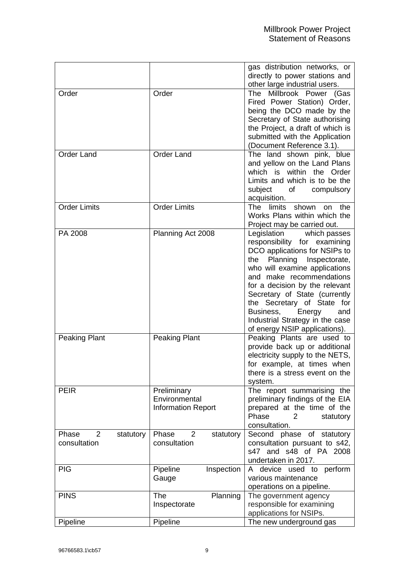|                         |                           | gas distribution networks, or<br>directly to power stations and |
|-------------------------|---------------------------|-----------------------------------------------------------------|
| Order                   | Order                     | other large industrial users.<br>Millbrook Power (Gas<br>The    |
|                         |                           | Fired Power Station) Order,                                     |
|                         |                           | being the DCO made by the<br>Secretary of State authorising     |
|                         |                           | the Project, a draft of which is                                |
|                         |                           | submitted with the Application                                  |
|                         |                           | (Document Reference 3.1).                                       |
| <b>Order Land</b>       | <b>Order Land</b>         | The land shown pink, blue                                       |
|                         |                           | and yellow on the Land Plans                                    |
|                         |                           | which<br>within the Order<br>is                                 |
|                         |                           | Limits and which is to be the                                   |
|                         |                           | subject<br>compulsory<br>of the control                         |
|                         |                           | acquisition.                                                    |
| <b>Order Limits</b>     | <b>Order Limits</b>       | shown<br>the<br>The<br>limits<br>on                             |
|                         |                           | Works Plans within which the                                    |
|                         |                           | Project may be carried out.                                     |
| PA 2008                 | Planning Act 2008         | Legislation which passes                                        |
|                         |                           | responsibility for examining                                    |
|                         |                           | DCO applications for NSIPs to                                   |
|                         |                           | Planning Inspectorate,<br>the<br>who will examine applications  |
|                         |                           | and make recommendations                                        |
|                         |                           | for a decision by the relevant                                  |
|                         |                           | Secretary of State (currently                                   |
|                         |                           | the Secretary of State for                                      |
|                         |                           | Business,<br>Energy<br>and                                      |
|                         |                           | Industrial Strategy in the case                                 |
|                         |                           | of energy NSIP applications).                                   |
| <b>Peaking Plant</b>    | <b>Peaking Plant</b>      | Peaking Plants are used to                                      |
|                         |                           | provide back up or additional                                   |
|                         |                           | electricity supply to the NETS,                                 |
|                         |                           | for example, at times when                                      |
|                         |                           | there is a stress event on the                                  |
|                         |                           | system.                                                         |
| <b>PEIR</b>             | Preliminary               | The report summarising the                                      |
|                         | Environmental             | preliminary findings of the EIA                                 |
|                         | <b>Information Report</b> | prepared at the time of the                                     |
|                         |                           | Phase<br>2<br>statutory<br>consultation.                        |
| Phase<br>2<br>statutory | Phase<br>2<br>statutory   | Second phase of statutory                                       |
| consultation            | consultation              | consultation pursuant to s42,                                   |
|                         |                           | s47 and s48 of PA 2008                                          |
|                         |                           | undertaken in 2017.                                             |
| <b>PIG</b>              | Pipeline<br>Inspection    | A device used to perform                                        |
|                         | Gauge                     | various maintenance                                             |
|                         |                           | operations on a pipeline.                                       |
| <b>PINS</b>             | The<br>Planning           | The government agency                                           |
|                         | Inspectorate              | responsible for examining                                       |
|                         |                           | applications for NSIPs.                                         |
| Pipeline                | Pipeline                  | The new underground gas                                         |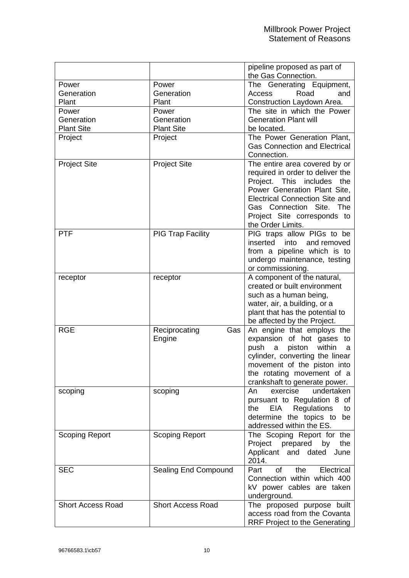|                          |                          | pipeline proposed as part of          |
|--------------------------|--------------------------|---------------------------------------|
|                          |                          | the Gas Connection.                   |
| Power                    | Power                    | The Generating Equipment,             |
| Generation               | Generation               | Road<br>Access<br>and                 |
| Plant                    | Plant                    | Construction Laydown Area.            |
| Power                    | Power                    | The site in which the Power           |
| Generation               | Generation               | <b>Generation Plant will</b>          |
| <b>Plant Site</b>        | <b>Plant Site</b>        | be located.                           |
| Project                  | Project                  | The Power Generation Plant,           |
|                          |                          | <b>Gas Connection and Electrical</b>  |
|                          |                          | Connection.                           |
| <b>Project Site</b>      | <b>Project Site</b>      | The entire area covered by or         |
|                          |                          | required in order to deliver the      |
|                          |                          | Project. This includes<br>the         |
|                          |                          | Power Generation Plant Site,          |
|                          |                          | <b>Electrical Connection Site and</b> |
|                          |                          | Gas Connection Site. The              |
|                          |                          | Project Site corresponds to           |
|                          |                          | the Order Limits.                     |
| <b>PTF</b>               | <b>PIG Trap Facility</b> | PIG traps allow PIGs to be            |
|                          |                          | into<br>and removed<br>inserted       |
|                          |                          | from a pipeline which is to           |
|                          |                          | undergo maintenance, testing          |
|                          |                          | or commissioning.                     |
| receptor                 | receptor                 | A component of the natural,           |
|                          |                          | created or built environment          |
|                          |                          | such as a human being,                |
|                          |                          | water, air, a building, or a          |
|                          |                          | plant that has the potential to       |
|                          |                          | be affected by the Project.           |
| <b>RGE</b>               | Reciprocating<br>Gas     | An engine that employs the            |
|                          | Engine                   | expansion of hot gases to             |
|                          |                          | push<br>within<br>a<br>piston<br>a    |
|                          |                          | cylinder, converting the linear       |
|                          |                          | movement of the piston into           |
|                          |                          | the rotating movement of a            |
|                          |                          | crankshaft to generate power.         |
| scoping                  | scoping                  | exercise<br>undertaken<br>An          |
|                          |                          | pursuant to Regulation 8 of           |
|                          |                          | EIA Regulations<br>the<br>to          |
|                          |                          | determine the topics to<br>be         |
|                          |                          | addressed within the ES.              |
| <b>Scoping Report</b>    | <b>Scoping Report</b>    | The Scoping Report for the            |
|                          |                          | Project prepared by<br>the            |
|                          |                          | Applicant and dated<br>June           |
|                          |                          | 2014.                                 |
| <b>SEC</b>               | Sealing End Compound     | of<br>the<br>Electrical<br>Part       |
|                          |                          | Connection within which 400           |
|                          |                          | kV power cables are taken             |
|                          |                          | underground.                          |
| <b>Short Access Road</b> | <b>Short Access Road</b> | The proposed purpose built            |
|                          |                          | access road from the Covanta          |
|                          |                          | <b>RRF Project to the Generating</b>  |
|                          |                          |                                       |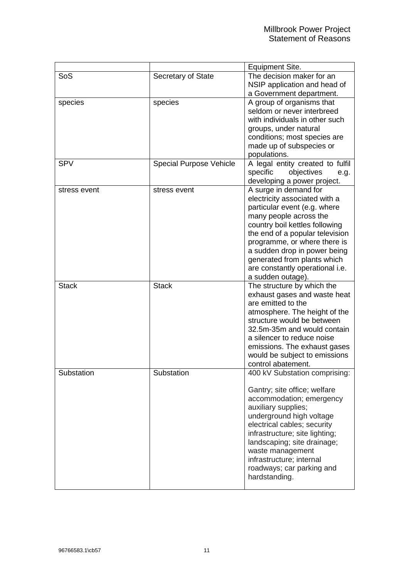|              |                                | Equipment Site.                                                                                                                                                                                                                                                                                                                              |
|--------------|--------------------------------|----------------------------------------------------------------------------------------------------------------------------------------------------------------------------------------------------------------------------------------------------------------------------------------------------------------------------------------------|
| SoS          | Secretary of State             | The decision maker for an<br>NSIP application and head of<br>a Government department.                                                                                                                                                                                                                                                        |
| species      | species                        | A group of organisms that<br>seldom or never interbreed<br>with individuals in other such<br>groups, under natural<br>conditions; most species are<br>made up of subspecies or<br>populations.                                                                                                                                               |
| <b>SPV</b>   | <b>Special Purpose Vehicle</b> | A legal entity created to fulfil<br>specific<br>objectives<br>e.g.<br>developing a power project.                                                                                                                                                                                                                                            |
| stress event | stress event                   | A surge in demand for<br>electricity associated with a<br>particular event (e.g. where<br>many people across the<br>country boil kettles following<br>the end of a popular television<br>programme, or where there is<br>a sudden drop in power being<br>generated from plants which<br>are constantly operational i.e.<br>a sudden outage). |
| <b>Stack</b> | <b>Stack</b>                   | The structure by which the<br>exhaust gases and waste heat<br>are emitted to the<br>atmosphere. The height of the<br>structure would be between<br>32.5m-35m and would contain<br>a silencer to reduce noise<br>emissions. The exhaust gases<br>would be subject to emissions<br>control abatement.                                          |
| Substation   | Substation                     | 400 kV Substation comprising:<br>Gantry; site office; welfare<br>accommodation; emergency<br>auxiliary supplies;<br>underground high voltage<br>electrical cables; security<br>infrastructure; site lighting;<br>landscaping; site drainage;<br>waste management<br>infrastructure; internal<br>roadways; car parking and<br>hardstanding.   |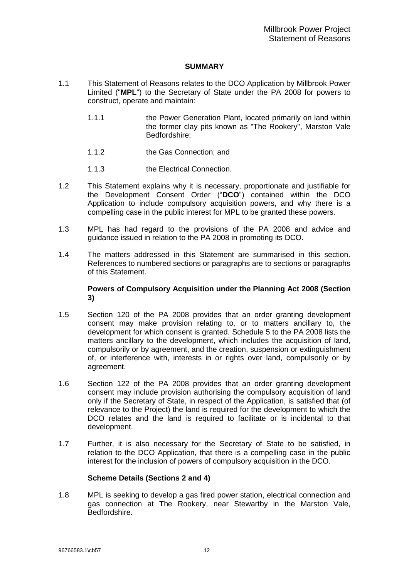## **SUMMARY**

- <span id="page-13-0"></span>1.1 This Statement of Reasons relates to the DCO Application by Millbrook Power Limited ("**MPL**") to the Secretary of State under the PA 2008 for powers to construct, operate and maintain:
	- 1.1.1 the Power Generation Plant, located primarily on land within the former clay pits known as "The Rookery", Marston Vale Bedfordshire;
	- 1.1.2 the Gas Connection; and
	- 1.1.3 the Electrical Connection.
- 1.2 This Statement explains why it is necessary, proportionate and justifiable for the Development Consent Order ("**DCO**") contained within the DCO Application to include compulsory acquisition powers, and why there is a compelling case in the public interest for MPL to be granted these powers.
- 1.3 MPL has had regard to the provisions of the PA 2008 and advice and guidance issued in relation to the PA 2008 in promoting its DCO.
- 1.4 The matters addressed in this Statement are summarised in this section. References to numbered sections or paragraphs are to sections or paragraphs of this Statement.

## **Powers of Compulsory Acquisition under the Planning Act 2008 (Section [3\)](#page-24-1)**

- 1.5 Section 120 of the PA 2008 provides that an order granting development consent may make provision relating to, or to matters ancillary to, the development for which consent is granted. Schedule 5 to the PA 2008 lists the matters ancillary to the development, which includes the acquisition of land, compulsorily or by agreement, and the creation, suspension or extinguishment of, or interference with, interests in or rights over land, compulsorily or by agreement.
- 1.6 Section 122 of the PA 2008 provides that an order granting development consent may include provision authorising the compulsory acquisition of land only if the Secretary of State, in respect of the Application, is satisfied that (of relevance to the Project) the land is required for the development to which the DCO relates and the land is required to facilitate or is incidental to that development.
- 1.7 Further, it is also necessary for the Secretary of State to be satisfied, in relation to the DCO Application, that there is a compelling case in the public interest for the inclusion of powers of compulsory acquisition in the DCO.

## **Scheme Details (Sections 2 and [4\)](#page-26-1)**

1.8 MPL is seeking to develop a gas fired power station, electrical connection and gas connection at The Rookery, near Stewartby in the Marston Vale, Bedfordshire.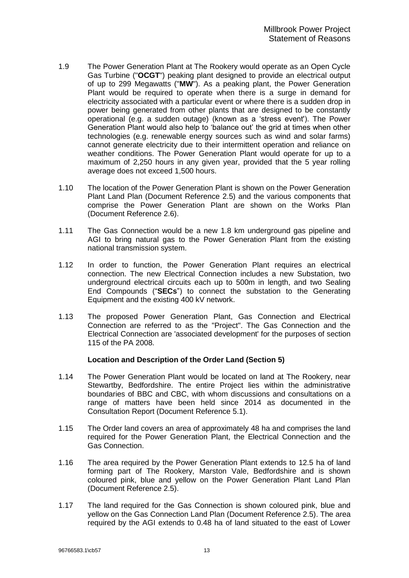- 1.9 The Power Generation Plant at The Rookery would operate as an Open Cycle Gas Turbine ("**OCGT**") peaking plant designed to provide an electrical output of up to 299 Megawatts ("**MW**"). As a peaking plant, the Power Generation Plant would be required to operate when there is a surge in demand for electricity associated with a particular event or where there is a sudden drop in power being generated from other plants that are designed to be constantly operational (e.g. a sudden outage) (known as a 'stress event'). The Power Generation Plant would also help to 'balance out' the grid at times when other technologies (e.g. renewable energy sources such as wind and solar farms) cannot generate electricity due to their intermittent operation and reliance on weather conditions. The Power Generation Plant would operate for up to a maximum of 2,250 hours in any given year, provided that the 5 year rolling average does not exceed 1,500 hours.
- 1.10 The location of the Power Generation Plant is shown on the Power Generation Plant Land Plan (Document Reference 2.5) and the various components that comprise the Power Generation Plant are shown on the Works Plan (Document Reference 2.6).
- 1.11 The Gas Connection would be a new 1.8 km underground gas pipeline and AGI to bring natural gas to the Power Generation Plant from the existing national transmission system.
- 1.12 In order to function, the Power Generation Plant requires an electrical connection. The new Electrical Connection includes a new Substation, two underground electrical circuits each up to 500m in length, and two Sealing End Compounds ("**SECs**") to connect the substation to the Generating Equipment and the existing 400 kV network.
- 1.13 The proposed Power Generation Plant, Gas Connection and Electrical Connection are referred to as the "Project". The Gas Connection and the Electrical Connection are 'associated development' for the purposes of section 115 of the PA 2008.

## **Location and Description of the Order Land (Section [5\)](#page-26-2)**

- 1.14 The Power Generation Plant would be located on land at The Rookery, near Stewartby, Bedfordshire. The entire Project lies within the administrative boundaries of BBC and CBC, with whom discussions and consultations on a range of matters have been held since 2014 as documented in the Consultation Report (Document Reference 5.1).
- 1.15 The Order land covers an area of approximately 48 ha and comprises the land required for the Power Generation Plant, the Electrical Connection and the Gas Connection.
- 1.16 The area required by the Power Generation Plant extends to 12.5 ha of land forming part of The Rookery, Marston Vale, Bedfordshire and is shown coloured pink, blue and yellow on the Power Generation Plant Land Plan (Document Reference 2.5).
- 1.17 The land required for the Gas Connection is shown coloured pink, blue and yellow on the Gas Connection Land Plan (Document Reference 2.5). The area required by the AGI extends to 0.48 ha of land situated to the east of Lower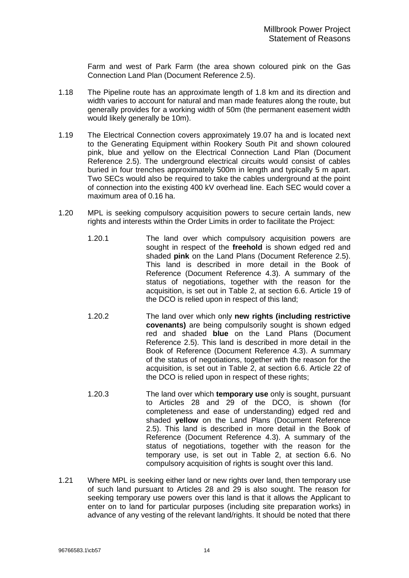Farm and west of Park Farm (the area shown coloured pink on the Gas Connection Land Plan (Document Reference 2.5).

- 1.18 The Pipeline route has an approximate length of 1.8 km and its direction and width varies to account for natural and man made features along the route, but generally provides for a working width of 50m (the permanent easement width would likely generally be 10m).
- 1.19 The Electrical Connection covers approximately 19.07 ha and is located next to the Generating Equipment within Rookery South Pit and shown coloured pink, blue and yellow on the Electrical Connection Land Plan (Document Reference 2.5). The underground electrical circuits would consist of cables buried in four trenches approximately 500m in length and typically 5 m apart. Two SECs would also be required to take the cables underground at the point of connection into the existing 400 kV overhead line. Each SEC would cover a maximum area of 0.16 ha.
- 1.20 MPL is seeking compulsory acquisition powers to secure certain lands, new rights and interests within the Order Limits in order to facilitate the Project:
	- 1.20.1 The land over which compulsory acquisition powers are sought in respect of the **freehold** is shown edged red and shaded **pink** on the Land Plans (Document Reference 2.5). This land is described in more detail in the Book of Reference (Document Reference 4.3). A summary of the status of negotiations, together with the reason for the acquisition, is set out in Table 2, at section [6.6.](#page-37-0) Article 19 of the DCO is relied upon in respect of this land;
	- 1.20.2 The land over which only **new rights (including restrictive covenants)** are being compulsorily sought is shown edged red and shaded **blue** on the Land Plans (Document Reference 2.5). This land is described in more detail in the Book of Reference (Document Reference 4.3). A summary of the status of negotiations, together with the reason for the acquisition, is set out in Table 2, at section [6.6.](#page-37-0) Article 22 of the DCO is relied upon in respect of these rights;
	- 1.20.3 The land over which **temporary use** only is sought, pursuant to Articles 28 and 29 of the DCO, is shown (for completeness and ease of understanding) edged red and shaded **yellow** on the Land Plans (Document Reference 2.5). This land is described in more detail in the Book of Reference (Document Reference 4.3). A summary of the status of negotiations, together with the reason for the temporary use, is set out in Table 2, at section [6.6.](#page-37-0) No compulsory acquisition of rights is sought over this land.
- 1.21 Where MPL is seeking either land or new rights over land, then temporary use of such land pursuant to Articles 28 and 29 is also sought. The reason for seeking temporary use powers over this land is that it allows the Applicant to enter on to land for particular purposes (including site preparation works) in advance of any vesting of the relevant land/rights. It should be noted that there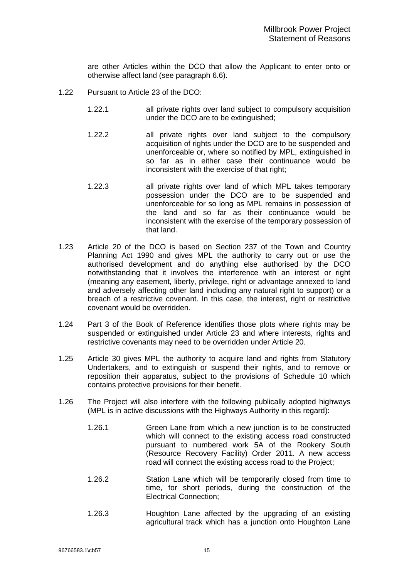are other Articles within the DCO that allow the Applicant to enter onto or otherwise affect land (see paragraph [6.6\)](#page-37-0).

- 1.22 Pursuant to Article 23 of the DCO:
	- 1.22.1 all private rights over land subject to compulsory acquisition under the DCO are to be extinguished;
	- 1.22.2 all private rights over land subject to the compulsory acquisition of rights under the DCO are to be suspended and unenforceable or, where so notified by MPL, extinguished in so far as in either case their continuance would be inconsistent with the exercise of that right;
	- 1.22.3 all private rights over land of which MPL takes temporary possession under the DCO are to be suspended and unenforceable for so long as MPL remains in possession of the land and so far as their continuance would be inconsistent with the exercise of the temporary possession of that land.
- 1.23 Article 20 of the DCO is based on Section 237 of the Town and Country Planning Act 1990 and gives MPL the authority to carry out or use the authorised development and do anything else authorised by the DCO notwithstanding that it involves the interference with an interest or right (meaning any easement, liberty, privilege, right or advantage annexed to land and adversely affecting other land including any natural right to support) or a breach of a restrictive covenant. In this case, the interest, right or restrictive covenant would be overridden.
- 1.24 Part 3 of the Book of Reference identifies those plots where rights may be suspended or extinguished under Article 23 and where interests, rights and restrictive covenants may need to be overridden under Article 20.
- 1.25 Article 30 gives MPL the authority to acquire land and rights from Statutory Undertakers, and to extinguish or suspend their rights, and to remove or reposition their apparatus, subject to the provisions of Schedule 10 which contains protective provisions for their benefit.
- 1.26 The Project will also interfere with the following publically adopted highways (MPL is in active discussions with the Highways Authority in this regard):
	- 1.26.1 Green Lane from which a new junction is to be constructed which will connect to the existing access road constructed pursuant to numbered work 5A of the Rookery South (Resource Recovery Facility) Order 2011. A new access road will connect the existing access road to the Project;
	- 1.26.2 Station Lane which will be temporarily closed from time to time, for short periods, during the construction of the Electrical Connection;
	- 1.26.3 Houghton Lane affected by the upgrading of an existing agricultural track which has a junction onto Houghton Lane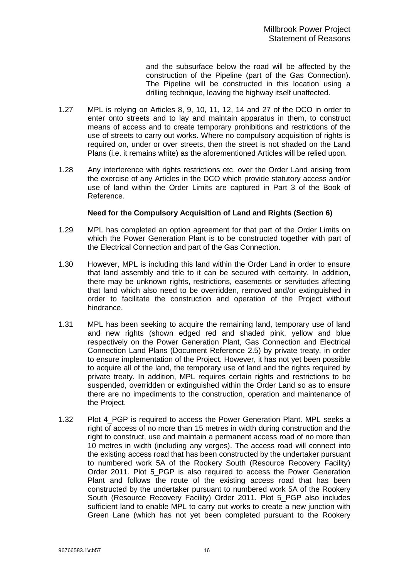and the subsurface below the road will be affected by the construction of the Pipeline (part of the Gas Connection). The Pipeline will be constructed in this location using a drilling technique, leaving the highway itself unaffected.

- 1.27 MPL is relying on Articles 8, 9, 10, 11, 12, 14 and 27 of the DCO in order to enter onto streets and to lay and maintain apparatus in them, to construct means of access and to create temporary prohibitions and restrictions of the use of streets to carry out works. Where no compulsory acquisition of rights is required on, under or over streets, then the street is not shaded on the Land Plans (i.e. it remains white) as the aforementioned Articles will be relied upon.
- 1.28 Any interference with rights restrictions etc. over the Order Land arising from the exercise of any Articles in the DCO which provide statutory access and/or use of land within the Order Limits are captured in Part 3 of the Book of Reference.

## **Need for the Compulsory Acquisition of Land and Rights (Section [6\)](#page-31-1)**

- 1.29 MPL has completed an option agreement for that part of the Order Limits on which the Power Generation Plant is to be constructed together with part of the Electrical Connection and part of the Gas Connection.
- 1.30 However, MPL is including this land within the Order Land in order to ensure that land assembly and title to it can be secured with certainty. In addition, there may be unknown rights, restrictions, easements or servitudes affecting that land which also need to be overridden, removed and/or extinguished in order to facilitate the construction and operation of the Project without hindrance.
- 1.31 MPL has been seeking to acquire the remaining land, temporary use of land and new rights (shown edged red and shaded pink, yellow and blue respectively on the Power Generation Plant, Gas Connection and Electrical Connection Land Plans (Document Reference 2.5) by private treaty, in order to ensure implementation of the Project. However, it has not yet been possible to acquire all of the land, the temporary use of land and the rights required by private treaty. In addition, MPL requires certain rights and restrictions to be suspended, overridden or extinguished within the Order Land so as to ensure there are no impediments to the construction, operation and maintenance of the Project.
- 1.32 Plot 4 PGP is required to access the Power Generation Plant. MPL seeks a right of access of no more than 15 metres in width during construction and the right to construct, use and maintain a permanent access road of no more than 10 metres in width (including any verges). The access road will connect into the existing access road that has been constructed by the undertaker pursuant to numbered work 5A of the Rookery South (Resource Recovery Facility) Order 2011. Plot 5\_PGP is also required to access the Power Generation Plant and follows the route of the existing access road that has been constructed by the undertaker pursuant to numbered work 5A of the Rookery South (Resource Recovery Facility) Order 2011. Plot 5\_PGP also includes sufficient land to enable MPL to carry out works to create a new junction with Green Lane (which has not yet been completed pursuant to the Rookery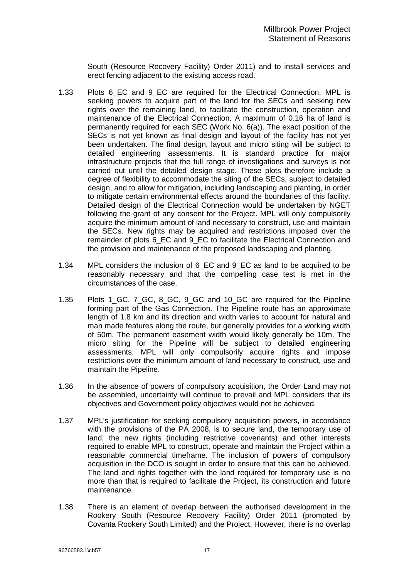South (Resource Recovery Facility) Order 2011) and to install services and erect fencing adjacent to the existing access road.

- 1.33 Plots 6 EC and 9 EC are required for the Electrical Connection. MPL is seeking powers to acquire part of the land for the SECs and seeking new rights over the remaining land, to facilitate the construction, operation and maintenance of the Electrical Connection. A maximum of 0.16 ha of land is permanently required for each SEC (Work No. 6(a)). The exact position of the SECs is not yet known as final design and layout of the facility has not yet been undertaken. The final design, layout and micro siting will be subject to detailed engineering assessments. It is standard practice for major infrastructure projects that the full range of investigations and surveys is not carried out until the detailed design stage. These plots therefore include a degree of flexibility to accommodate the siting of the SECs, subject to detailed design, and to allow for mitigation, including landscaping and planting, in order to mitigate certain environmental effects around the boundaries of this facility. Detailed design of the Electrical Connection would be undertaken by NGET following the grant of any consent for the Project. MPL will only compulsorily acquire the minimum amount of land necessary to construct, use and maintain the SECs. New rights may be acquired and restrictions imposed over the remainder of plots 6 EC and 9 EC to facilitate the Electrical Connection and the provision and maintenance of the proposed landscaping and planting.
- 1.34 MPL considers the inclusion of 6\_EC and 9\_EC as land to be acquired to be reasonably necessary and that the compelling case test is met in the circumstances of the case.
- 1.35 Plots 1\_GC, 7\_GC, 8\_GC, 9\_GC and 10\_GC are required for the Pipeline forming part of the Gas Connection. The Pipeline route has an approximate length of 1.8 km and its direction and width varies to account for natural and man made features along the route, but generally provides for a working width of 50m. The permanent easement width would likely generally be 10m. The micro siting for the Pipeline will be subject to detailed engineering assessments. MPL will only compulsorily acquire rights and impose restrictions over the minimum amount of land necessary to construct, use and maintain the Pipeline.
- 1.36 In the absence of powers of compulsory acquisition, the Order Land may not be assembled, uncertainty will continue to prevail and MPL considers that its objectives and Government policy objectives would not be achieved.
- 1.37 MPL's justification for seeking compulsory acquisition powers, in accordance with the provisions of the PA 2008, is to secure land, the temporary use of land, the new rights (including restrictive covenants) and other interests required to enable MPL to construct, operate and maintain the Project within a reasonable commercial timeframe. The inclusion of powers of compulsory acquisition in the DCO is sought in order to ensure that this can be achieved. The land and rights together with the land required for temporary use is no more than that is required to facilitate the Project, its construction and future maintenance.
- 1.38 There is an element of overlap between the authorised development in the Rookery South (Resource Recovery Facility) Order 2011 (promoted by Covanta Rookery South Limited) and the Project. However, there is no overlap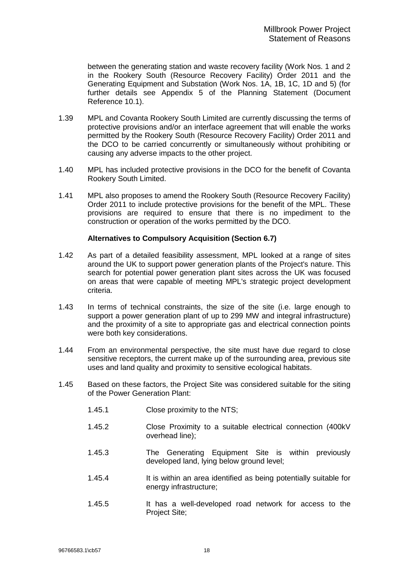between the generating station and waste recovery facility (Work Nos. 1 and 2 in the Rookery South (Resource Recovery Facility) Order 2011 and the Generating Equipment and Substation (Work Nos. 1A, 1B, 1C, 1D and 5) (for further details see Appendix 5 of the Planning Statement (Document Reference 10.1).

- 1.39 MPL and Covanta Rookery South Limited are currently discussing the terms of protective provisions and/or an interface agreement that will enable the works permitted by the Rookery South (Resource Recovery Facility) Order 2011 and the DCO to be carried concurrently or simultaneously without prohibiting or causing any adverse impacts to the other project.
- 1.40 MPL has included protective provisions in the DCO for the benefit of Covanta Rookery South Limited.
- 1.41 MPL also proposes to amend the Rookery South (Resource Recovery Facility) Order 2011 to include protective provisions for the benefit of the MPL. These provisions are required to ensure that there is no impediment to the construction or operation of the works permitted by the DCO.

#### **Alternatives to Compulsory Acquisition (Section [6.7\)](#page-44-0)**

- 1.42 As part of a detailed feasibility assessment, MPL looked at a range of sites around the UK to support power generation plants of the Project's nature. This search for potential power generation plant sites across the UK was focused on areas that were capable of meeting MPL's strategic project development criteria.
- 1.43 In terms of technical constraints, the size of the site (i.e. large enough to support a power generation plant of up to 299 MW and integral infrastructure) and the proximity of a site to appropriate gas and electrical connection points were both key considerations.
- 1.44 From an environmental perspective, the site must have due regard to close sensitive receptors, the current make up of the surrounding area, previous site uses and land quality and proximity to sensitive ecological habitats.
- 1.45 Based on these factors, the Project Site was considered suitable for the siting of the Power Generation Plant:
	- 1.45.1 Close proximity to the NTS;
	- 1.45.2 Close Proximity to a suitable electrical connection (400kV overhead line);
	- 1.45.3 The Generating Equipment Site is within previously developed land, lying below ground level;
	- 1.45.4 It is within an area identified as being potentially suitable for energy infrastructure;
	- 1.45.5 It has a well-developed road network for access to the Project Site;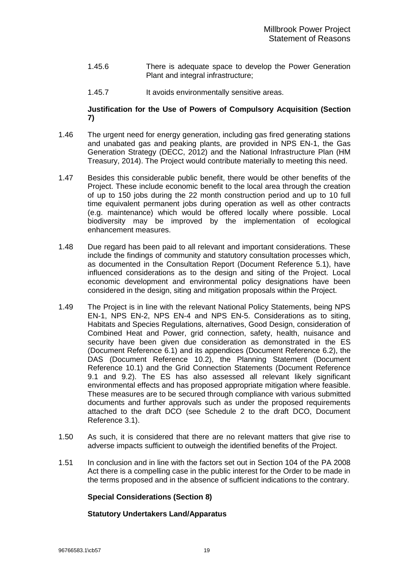- 1.45.6 There is adequate space to develop the Power Generation Plant and integral infrastructure;
- 1.45.7 It avoids environmentally sensitive areas.

#### **Justification for the Use of Powers of Compulsory Acquisition (Section [7\)](#page-46-1)**

- 1.46 The urgent need for energy generation, including gas fired generating stations and unabated gas and peaking plants, are provided in NPS EN-1, the Gas Generation Strategy (DECC, 2012) and the National Infrastructure Plan (HM Treasury, 2014). The Project would contribute materially to meeting this need.
- 1.47 Besides this considerable public benefit, there would be other benefits of the Project. These include economic benefit to the local area through the creation of up to 150 jobs during the 22 month construction period and up to 10 full time equivalent permanent jobs during operation as well as other contracts (e.g. maintenance) which would be offered locally where possible. Local biodiversity may be improved by the implementation of ecological enhancement measures.
- 1.48 Due regard has been paid to all relevant and important considerations. These include the findings of community and statutory consultation processes which, as documented in the Consultation Report (Document Reference 5.1), have influenced considerations as to the design and siting of the Project. Local economic development and environmental policy designations have been considered in the design, siting and mitigation proposals within the Project.
- 1.49 The Project is in line with the relevant National Policy Statements, being NPS EN-1, NPS EN-2, NPS EN-4 and NPS EN-5. Considerations as to siting, Habitats and Species Regulations, alternatives, Good Design, consideration of Combined Heat and Power, grid connection, safety, health, nuisance and security have been given due consideration as demonstrated in the ES (Document Reference 6.1) and its appendices (Document Reference 6.2), the DAS (Document Reference 10.2), the Planning Statement (Document Reference 10.1) and the Grid Connection Statements (Document Reference 9.1 and 9.2). The ES has also assessed all relevant likely significant environmental effects and has proposed appropriate mitigation where feasible. These measures are to be secured through compliance with various submitted documents and further approvals such as under the proposed requirements attached to the draft DCO (see Schedule 2 to the draft DCO, Document Reference 3.1).
- 1.50 As such, it is considered that there are no relevant matters that give rise to adverse impacts sufficient to outweigh the identified benefits of the Project.
- 1.51 In conclusion and in line with the factors set out in Section 104 of the PA 2008 Act there is a compelling case in the public interest for the Order to be made in the terms proposed and in the absence of sufficient indications to the contrary.

## **Special Considerations (Section [8\)](#page-50-1)**

## **Statutory Undertakers Land/Apparatus**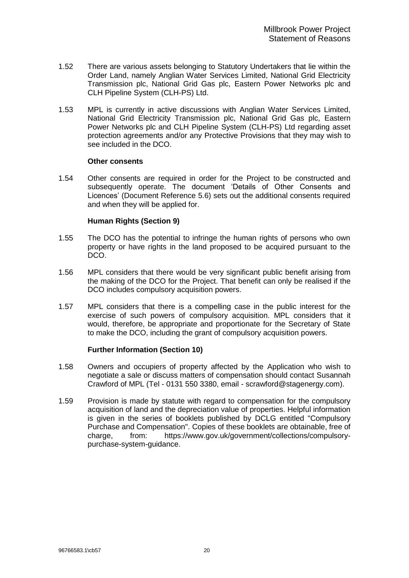- 1.52 There are various assets belonging to Statutory Undertakers that lie within the Order Land, namely Anglian Water Services Limited, National Grid Electricity Transmission plc, National Grid Gas plc, Eastern Power Networks plc and CLH Pipeline System (CLH-PS) Ltd.
- 1.53 MPL is currently in active discussions with Anglian Water Services Limited, National Grid Electricity Transmission plc, National Grid Gas plc, Eastern Power Networks plc and CLH Pipeline System (CLH-PS) Ltd regarding asset protection agreements and/or any Protective Provisions that they may wish to see included in the DCO.

#### **Other consents**

1.54 Other consents are required in order for the Project to be constructed and subsequently operate. The document 'Details of Other Consents and Licences' (Document Reference 5.6) sets out the additional consents required and when they will be applied for.

#### **Human Rights (Section [9\)](#page-54-1)**

- 1.55 The DCO has the potential to infringe the human rights of persons who own property or have rights in the land proposed to be acquired pursuant to the DCO.
- 1.56 MPL considers that there would be very significant public benefit arising from the making of the DCO for the Project. That benefit can only be realised if the DCO includes compulsory acquisition powers.
- 1.57 MPL considers that there is a compelling case in the public interest for the exercise of such powers of compulsory acquisition. MPL considers that it would, therefore, be appropriate and proportionate for the Secretary of State to make the DCO, including the grant of compulsory acquisition powers.

## **Further Information (Section [10\)](#page-56-1)**

- 1.58 Owners and occupiers of property affected by the Application who wish to negotiate a sale or discuss matters of compensation should contact Susannah Crawford of MPL (Tel - 0131 550 3380, email - scrawford@stagenergy.com).
- 1.59 Provision is made by statute with regard to compensation for the compulsory acquisition of land and the depreciation value of properties. Helpful information is given in the series of booklets published by DCLG entitled "Compulsory Purchase and Compensation". Copies of these booklets are obtainable, free of charge, from: https://www.gov.uk/government/collections/compulsorypurchase-system-guidance.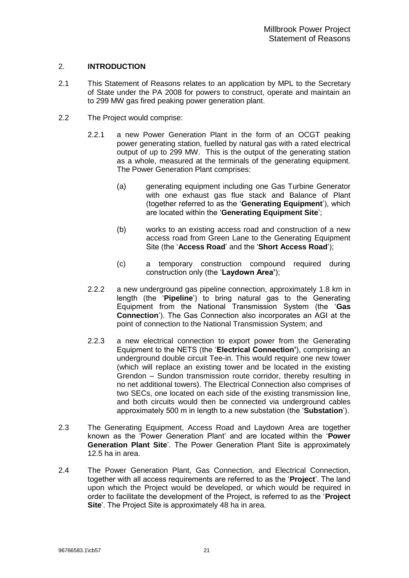## <span id="page-22-0"></span>2. **INTRODUCTION**

- 2.1 This Statement of Reasons relates to an application by MPL to the Secretary of State under the PA 2008 for powers to construct, operate and maintain an to 299 MW gas fired peaking power generation plant.
- <span id="page-22-1"></span>2.2 The Project would comprise:
	- 2.2.1 a new Power Generation Plant in the form of an OCGT peaking power generating station, fuelled by natural gas with a rated electrical output of up to 299 MW. This is the output of the generating station as a whole, measured at the terminals of the generating equipment. The Power Generation Plant comprises:
		- (a) generating equipment including one Gas Turbine Generator with one exhaust gas flue stack and Balance of Plant (together referred to as the '**Generating Equipment**'), which are located within the '**Generating Equipment Site**';
		- (b) works to an existing access road and construction of a new access road from Green Lane to the Generating Equipment Site (the '**Access Road**' and the '**Short Access Road**');
		- (c) a temporary construction compound required during construction only (the '**Laydown Area'**);
	- 2.2.2 a new underground gas pipeline connection, approximately 1.8 km in length (the '**Pipeline**') to bring natural gas to the Generating Equipment from the National Transmission System (the '**Gas Connection**'). The Gas Connection also incorporates an AGI at the point of connection to the National Transmission System; and
	- 2.2.3 a new electrical connection to export power from the Generating Equipment to the NETS (the '**Electrical Connection'**), comprising an underground double circuit Tee-in. This would require one new tower (which will replace an existing tower and be located in the existing Grendon – Sundon transmission route corridor, thereby resulting in no net additional towers). The Electrical Connection also comprises of two SECs, one located on each side of the existing transmission line, and both circuits would then be connected via underground cables approximately 500 m in length to a new substation (the '**Substation**').
- 2.3 The Generating Equipment, Access Road and Laydown Area are together known as the 'Power Generation Plant' and are located within the '**Power Generation Plant Site**'. The Power Generation Plant Site is approximately 12.5 ha in area.
- 2.4 The Power Generation Plant, Gas Connection, and Electrical Connection, together with all access requirements are referred to as the '**Project**'. The land upon which the Project would be developed, or which would be required in order to facilitate the development of the Project, is referred to as the '**Project Site**'. The Project Site is approximately 48 ha in area.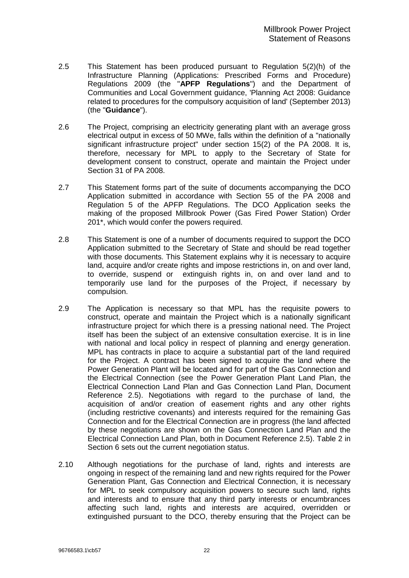- 2.5 This Statement has been produced pursuant to Regulation 5(2)(h) of the Infrastructure Planning (Applications: Prescribed Forms and Procedure) Regulations 2009 (the "**APFP Regulations**") and the Department of Communities and Local Government guidance, 'Planning Act 2008: Guidance related to procedures for the compulsory acquisition of land' (September 2013) (the "**Guidance**").
- 2.6 The Project, comprising an electricity generating plant with an average gross electrical output in excess of 50 MWe, falls within the definition of a "nationally significant infrastructure project" under section 15(2) of the PA 2008. It is, therefore, necessary for MPL to apply to the Secretary of State for development consent to construct, operate and maintain the Project under Section 31 of PA 2008.
- 2.7 This Statement forms part of the suite of documents accompanying the DCO Application submitted in accordance with Section 55 of the PA 2008 and Regulation 5 of the APFP Regulations. The DCO Application seeks the making of the proposed Millbrook Power (Gas Fired Power Station) Order 201\*, which would confer the powers required.
- 2.8 This Statement is one of a number of documents required to support the DCO Application submitted to the Secretary of State and should be read together with those documents. This Statement explains why it is necessary to acquire land, acquire and/or create rights and impose restrictions in, on and over land, to override, suspend or extinguish rights in, on and over land and to temporarily use land for the purposes of the Project, if necessary by compulsion.
- 2.9 The Application is necessary so that MPL has the requisite powers to construct, operate and maintain the Project which is a nationally significant infrastructure project for which there is a pressing national need. The Project itself has been the subject of an extensive consultation exercise. It is in line with national and local policy in respect of planning and energy generation. MPL has contracts in place to acquire a substantial part of the land required for the Project. A contract has been signed to acquire the land where the Power Generation Plant will be located and for part of the Gas Connection and the Electrical Connection (see the Power Generation Plant Land Plan, the Electrical Connection Land Plan and Gas Connection Land Plan, Document Reference 2.5). Negotiations with regard to the purchase of land, the acquisition of and/or creation of easement rights and any other rights (including restrictive covenants) and interests required for the remaining Gas Connection and for the Electrical Connection are in progress (the land affected by these negotiations are shown on the Gas Connection Land Plan and the Electrical Connection Land Plan, both in Document Reference 2.5). Table 2 in Section [6](#page-31-1) sets out the current negotiation status.
- 2.10 Although negotiations for the purchase of land, rights and interests are ongoing in respect of the remaining land and new rights required for the Power Generation Plant, Gas Connection and Electrical Connection, it is necessary for MPL to seek compulsory acquisition powers to secure such land, rights and interests and to ensure that any third party interests or encumbrances affecting such land, rights and interests are acquired, overridden or extinguished pursuant to the DCO, thereby ensuring that the Project can be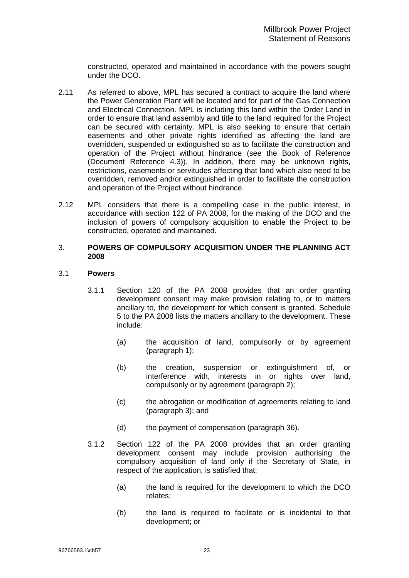constructed, operated and maintained in accordance with the powers sought under the DCO.

- <span id="page-24-0"></span>2.11 As referred to above, MPL has secured a contract to acquire the land where the Power Generation Plant will be located and for part of the Gas Connection and Electrical Connection. MPL is including this land within the Order Land in order to ensure that land assembly and title to the land required for the Project can be secured with certainty. MPL is also seeking to ensure that certain easements and other private rights identified as affecting the land are overridden, suspended or extinguished so as to facilitate the construction and operation of the Project without hindrance (see the Book of Reference (Document Reference 4.3)). In addition, there may be unknown rights, restrictions, easements or servitudes affecting that land which also need to be overridden, removed and/or extinguished in order to facilitate the construction and operation of the Project without hindrance.
- 2.12 MPL considers that there is a compelling case in the public interest, in accordance with section 122 of PA 2008, for the making of the DCO and the inclusion of powers of compulsory acquisition to enable the Project to be constructed, operated and maintained.

#### <span id="page-24-1"></span>3. **POWERS OF COMPULSORY ACQUISITION UNDER THE PLANNING ACT 2008**

#### 3.1 **Powers**

- 3.1.1 Section 120 of the PA 2008 provides that an order granting development consent may make provision relating to, or to matters ancillary to, the development for which consent is granted. Schedule 5 to the PA 2008 lists the matters ancillary to the development. These include:
	- (a) the acquisition of land, compulsorily or by agreement (paragraph 1);
	- (b) the creation, suspension or extinguishment of, or interference with, interests in or rights over land, compulsorily or by agreement (paragraph 2);
	- (c) the abrogation or modification of agreements relating to land (paragraph 3); and
	- (d) the payment of compensation (paragraph 36).
- 3.1.2 Section 122 of the PA 2008 provides that an order granting development consent may include provision authorising the compulsory acquisition of land only if the Secretary of State, in respect of the application, is satisfied that:
	- (a) the land is required for the development to which the DCO relates;
	- (b) the land is required to facilitate or is incidental to that development; or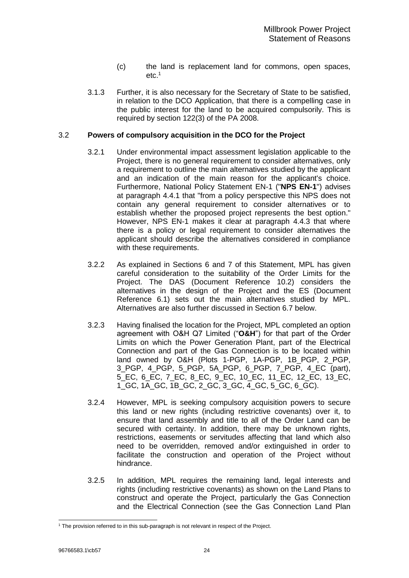- (c) the land is replacement land for commons, open spaces, etc.<sup>1</sup>
- 3.1.3 Further, it is also necessary for the Secretary of State to be satisfied, in relation to the DCO Application, that there is a compelling case in the public interest for the land to be acquired compulsorily. This is required by section 122(3) of the PA 2008.

#### 3.2 **Powers of compulsory acquisition in the DCO for the Project**

- 3.2.1 Under environmental impact assessment legislation applicable to the Project, there is no general requirement to consider alternatives, only a requirement to outline the main alternatives studied by the applicant and an indication of the main reason for the applicant's choice. Furthermore, National Policy Statement EN-1 ("**NPS EN-1**") advises at paragraph 4.4.1 that "from a policy perspective this NPS does not contain any general requirement to consider alternatives or to establish whether the proposed project represents the best option." However, NPS EN-1 makes it clear at paragraph 4.4.3 that where there is a policy or legal requirement to consider alternatives the applicant should describe the alternatives considered in compliance with these requirements.
- 3.2.2 As explained in Sections [6](#page-31-1) and [7](#page-46-1) of this Statement, MPL has given careful consideration to the suitability of the Order Limits for the Project. The DAS (Document Reference 10.2) considers the alternatives in the design of the Project and the ES (Document Reference 6.1) sets out the main alternatives studied by MPL. Alternatives are also further discussed in Section [6.7](#page-44-0) below.
- <span id="page-25-0"></span>3.2.3 Having finalised the location for the Project, MPL completed an option agreement with O&H Q7 Limited ("**O&H**") for that part of the Order Limits on which the Power Generation Plant, part of the Electrical Connection and part of the Gas Connection is to be located within land owned by O&H (Plots 1-PGP, 1A-PGP, 1B\_PGP, 2\_PGP, 3\_PGP, 4\_PGP, 5\_PGP, 5A\_PGP, 6\_PGP, 7\_PGP, 4\_EC (part), 5\_EC, 6\_EC, 7\_EC, 8\_EC, 9\_EC, 10\_EC, 11\_EC, 12\_EC, 13\_EC, 1\_GC, 1A\_GC, 1B\_GC, 2\_GC, 3\_GC, 4\_GC, 5\_GC, 6\_GC).
- 3.2.4 However, MPL is seeking compulsory acquisition powers to secure this land or new rights (including restrictive covenants) over it, to ensure that land assembly and title to all of the Order Land can be secured with certainty. In addition, there may be unknown rights, restrictions, easements or servitudes affecting that land which also need to be overridden, removed and/or extinguished in order to facilitate the construction and operation of the Project without hindrance.
- 3.2.5 In addition, MPL requires the remaining land, legal interests and rights (including restrictive covenants) as shown on the Land Plans to construct and operate the Project, particularly the Gas Connection and the Electrical Connection (see the Gas Connection Land Plan

<sup>-</sup> $1$  The provision referred to in this sub-paragraph is not relevant in respect of the Project.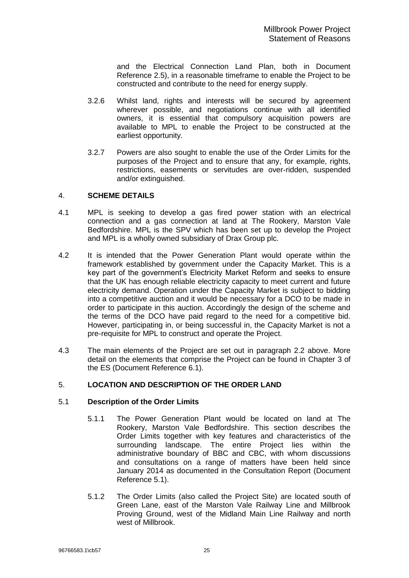and the Electrical Connection Land Plan, both in Document Reference 2.5), in a reasonable timeframe to enable the Project to be constructed and contribute to the need for energy supply.

- <span id="page-26-0"></span>3.2.6 Whilst land, rights and interests will be secured by agreement wherever possible, and negotiations continue with all identified owners, it is essential that compulsory acquisition powers are available to MPL to enable the Project to be constructed at the earliest opportunity.
- 3.2.7 Powers are also sought to enable the use of the Order Limits for the purposes of the Project and to ensure that any, for example, rights, restrictions, easements or servitudes are over-ridden, suspended and/or extinguished.

### <span id="page-26-1"></span>4. **SCHEME DETAILS**

- 4.1 MPL is seeking to develop a gas fired power station with an electrical connection and a gas connection at land at The Rookery, Marston Vale Bedfordshire. MPL is the SPV which has been set up to develop the Project and MPL is a wholly owned subsidiary of Drax Group plc.
- 4.2 It is intended that the Power Generation Plant would operate within the framework established by government under the Capacity Market. This is a key part of the government's Electricity Market Reform and seeks to ensure that the UK has enough reliable electricity capacity to meet current and future electricity demand. Operation under the Capacity Market is subject to bidding into a competitive auction and it would be necessary for a DCO to be made in order to participate in this auction. Accordingly the design of the scheme and the terms of the DCO have paid regard to the need for a competitive bid. However, participating in, or being successful in, the Capacity Market is not a pre-requisite for MPL to construct and operate the Project.
- 4.3 The main elements of the Project are set out in paragraph [2.2](#page-22-1) above. More detail on the elements that comprise the Project can be found in Chapter 3 of the ES (Document Reference 6.1).

## <span id="page-26-2"></span>5. **LOCATION AND DESCRIPTION OF THE ORDER LAND**

## 5.1 **Description of the Order Limits**

- 5.1.1 The Power Generation Plant would be located on land at The Rookery, Marston Vale Bedfordshire. This section describes the Order Limits together with key features and characteristics of the surrounding landscape. The entire Project lies within the administrative boundary of BBC and CBC, with whom discussions and consultations on a range of matters have been held since January 2014 as documented in the Consultation Report (Document Reference 5.1).
- 5.1.2 The Order Limits (also called the Project Site) are located south of Green Lane, east of the Marston Vale Railway Line and Millbrook Proving Ground, west of the Midland Main Line Railway and north west of Millbrook.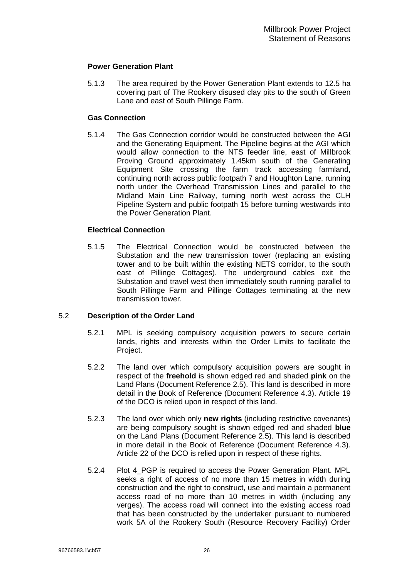## **Power Generation Plant**

5.1.3 The area required by the Power Generation Plant extends to 12.5 ha covering part of The Rookery disused clay pits to the south of Green Lane and east of South Pillinge Farm.

#### **Gas Connection**

5.1.4 The Gas Connection corridor would be constructed between the AGI and the Generating Equipment. The Pipeline begins at the AGI which would allow connection to the NTS feeder line, east of Millbrook Proving Ground approximately 1.45km south of the Generating Equipment Site crossing the farm track accessing farmland, continuing north across public footpath 7 and Houghton Lane, running north under the Overhead Transmission Lines and parallel to the Midland Main Line Railway, turning north west across the CLH Pipeline System and public footpath 15 before turning westwards into the Power Generation Plant.

## **Electrical Connection**

5.1.5 The Electrical Connection would be constructed between the Substation and the new transmission tower (replacing an existing tower and to be built within the existing NETS corridor, to the south east of Pillinge Cottages). The underground cables exit the Substation and travel west then immediately south running parallel to South Pillinge Farm and Pillinge Cottages terminating at the new transmission tower.

#### 5.2 **Description of the Order Land**

- 5.2.1 MPL is seeking compulsory acquisition powers to secure certain lands, rights and interests within the Order Limits to facilitate the Project.
- 5.2.2 The land over which compulsory acquisition powers are sought in respect of the **freehold** is shown edged red and shaded **pink** on the Land Plans (Document Reference 2.5). This land is described in more detail in the Book of Reference (Document Reference 4.3). Article 19 of the DCO is relied upon in respect of this land.
- 5.2.3 The land over which only **new rights** (including restrictive covenants) are being compulsory sought is shown edged red and shaded **blue** on the Land Plans (Document Reference 2.5). This land is described in more detail in the Book of Reference (Document Reference 4.3). Article 22 of the DCO is relied upon in respect of these rights.
- 5.2.4 Plot 4 PGP is required to access the Power Generation Plant. MPL seeks a right of access of no more than 15 metres in width during construction and the right to construct, use and maintain a permanent access road of no more than 10 metres in width (including any verges). The access road will connect into the existing access road that has been constructed by the undertaker pursuant to numbered work 5A of the Rookery South (Resource Recovery Facility) Order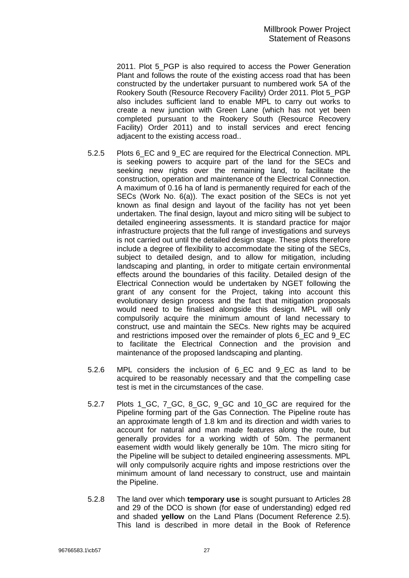2011. Plot 5\_PGP is also required to access the Power Generation Plant and follows the route of the existing access road that has been constructed by the undertaker pursuant to numbered work 5A of the Rookery South (Resource Recovery Facility) Order 2011. Plot 5\_PGP also includes sufficient land to enable MPL to carry out works to create a new junction with Green Lane (which has not yet been completed pursuant to the Rookery South (Resource Recovery Facility) Order 2011) and to install services and erect fencing adjacent to the existing access road..

- 5.2.5 Plots 6\_EC and 9\_EC are required for the Electrical Connection. MPL is seeking powers to acquire part of the land for the SECs and seeking new rights over the remaining land, to facilitate the construction, operation and maintenance of the Electrical Connection. A maximum of 0.16 ha of land is permanently required for each of the SECs (Work No. 6(a)). The exact position of the SECs is not yet known as final design and layout of the facility has not yet been undertaken. The final design, layout and micro siting will be subject to detailed engineering assessments. It is standard practice for major infrastructure projects that the full range of investigations and surveys is not carried out until the detailed design stage. These plots therefore include a degree of flexibility to accommodate the siting of the SECs, subject to detailed design, and to allow for mitigation, including landscaping and planting, in order to mitigate certain environmental effects around the boundaries of this facility. Detailed design of the Electrical Connection would be undertaken by NGET following the grant of any consent for the Project, taking into account this evolutionary design process and the fact that mitigation proposals would need to be finalised alongside this design. MPL will only compulsorily acquire the minimum amount of land necessary to construct, use and maintain the SECs. New rights may be acquired and restrictions imposed over the remainder of plots 6\_EC and 9\_EC to facilitate the Electrical Connection and the provision and maintenance of the proposed landscaping and planting.
- 5.2.6 MPL considers the inclusion of 6\_EC and 9\_EC as land to be acquired to be reasonably necessary and that the compelling case test is met in the circumstances of the case.
- <span id="page-28-0"></span>5.2.7 Plots 1 GC, 7 GC, 8 GC, 9 GC and 10 GC are required for the Pipeline forming part of the Gas Connection. The Pipeline route has an approximate length of 1.8 km and its direction and width varies to account for natural and man made features along the route, but generally provides for a working width of 50m. The permanent easement width would likely generally be 10m. The micro siting for the Pipeline will be subject to detailed engineering assessments. MPL will only compulsorily acquire rights and impose restrictions over the minimum amount of land necessary to construct, use and maintain the Pipeline.
- 5.2.8 The land over which **temporary use** is sought pursuant to Articles 28 and 29 of the DCO is shown (for ease of understanding) edged red and shaded **yellow** on the Land Plans (Document Reference 2.5). This land is described in more detail in the Book of Reference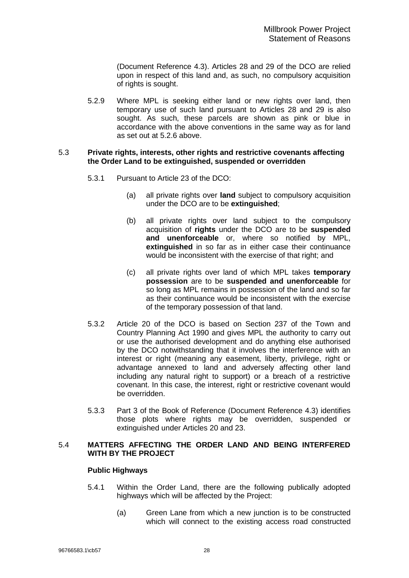(Document Reference 4.3). Articles 28 and 29 of the DCO are relied upon in respect of this land and, as such, no compulsory acquisition of rights is sought.

5.2.9 Where MPL is seeking either land or new rights over land, then temporary use of such land pursuant to Articles 28 and 29 is also sought. As such, these parcels are shown as pink or blue in accordance with the above conventions in the same way as for land as set out at [5.2.6](#page-28-0) above.

#### 5.3 **Private rights, interests, other rights and restrictive covenants affecting the Order Land to be extinguished, suspended or overridden**

- 5.3.1 Pursuant to Article 23 of the DCO:
	- (a) all private rights over **land** subject to compulsory acquisition under the DCO are to be **extinguished**;
	- (b) all private rights over land subject to the compulsory acquisition of **rights** under the DCO are to be **suspended and unenforceable** or, where so notified by MPL, **extinguished** in so far as in either case their continuance would be inconsistent with the exercise of that right; and
	- (c) all private rights over land of which MPL takes **temporary possession** are to be **suspended and unenforceable** for so long as MPL remains in possession of the land and so far as their continuance would be inconsistent with the exercise of the temporary possession of that land.
- 5.3.2 Article 20 of the DCO is based on Section 237 of the Town and Country Planning Act 1990 and gives MPL the authority to carry out or use the authorised development and do anything else authorised by the DCO notwithstanding that it involves the interference with an interest or right (meaning any easement, liberty, privilege, right or advantage annexed to land and adversely affecting other land including any natural right to support) or a breach of a restrictive covenant. In this case, the interest, right or restrictive covenant would be overridden.
- 5.3.3 Part 3 of the Book of Reference (Document Reference 4.3) identifies those plots where rights may be overridden, suspended or extinguished under Articles 20 and 23.

## 5.4 **MATTERS AFFECTING THE ORDER LAND AND BEING INTERFERED WITH BY THE PROJECT**

## **Public Highways**

- 5.4.1 Within the Order Land, there are the following publically adopted highways which will be affected by the Project:
	- (a) Green Lane from which a new junction is to be constructed which will connect to the existing access road constructed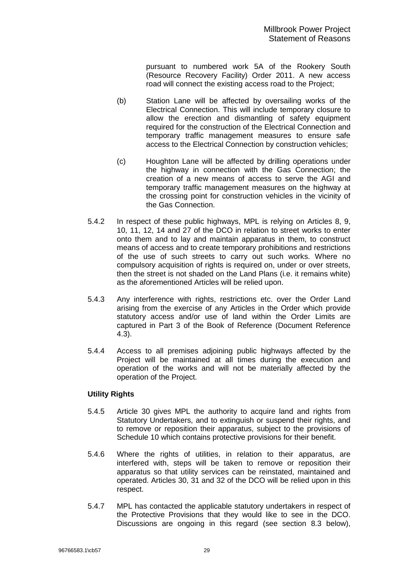pursuant to numbered work 5A of the Rookery South (Resource Recovery Facility) Order 2011. A new access road will connect the existing access road to the Project;

- (b) Station Lane will be affected by oversailing works of the Electrical Connection. This will include temporary closure to allow the erection and dismantling of safety equipment required for the construction of the Electrical Connection and temporary traffic management measures to ensure safe access to the Electrical Connection by construction vehicles;
- (c) Houghton Lane will be affected by drilling operations under the highway in connection with the Gas Connection; the creation of a new means of access to serve the AGI and temporary traffic management measures on the highway at the crossing point for construction vehicles in the vicinity of the Gas Connection.
- 5.4.2 In respect of these public highways, MPL is relying on Articles 8, 9, 10, 11, 12, 14 and 27 of the DCO in relation to street works to enter onto them and to lay and maintain apparatus in them, to construct means of access and to create temporary prohibitions and restrictions of the use of such streets to carry out such works. Where no compulsory acquisition of rights is required on, under or over streets, then the street is not shaded on the Land Plans (i.e. it remains white) as the aforementioned Articles will be relied upon.
- 5.4.3 Any interference with rights, restrictions etc. over the Order Land arising from the exercise of any Articles in the Order which provide statutory access and/or use of land within the Order Limits are captured in Part 3 of the Book of Reference (Document Reference 4.3).
- 5.4.4 Access to all premises adjoining public highways affected by the Project will be maintained at all times during the execution and operation of the works and will not be materially affected by the operation of the Project.

## **Utility Rights**

- 5.4.5 Article 30 gives MPL the authority to acquire land and rights from Statutory Undertakers, and to extinguish or suspend their rights, and to remove or reposition their apparatus, subject to the provisions of Schedule 10 which contains protective provisions for their benefit.
- 5.4.6 Where the rights of utilities, in relation to their apparatus, are interfered with, steps will be taken to remove or reposition their apparatus so that utility services can be reinstated, maintained and operated. Articles 30, 31 and 32 of the DCO will be relied upon in this respect.
- 5.4.7 MPL has contacted the applicable statutory undertakers in respect of the Protective Provisions that they would like to see in the DCO. Discussions are ongoing in this regard (see section [8.3](#page-50-2) below),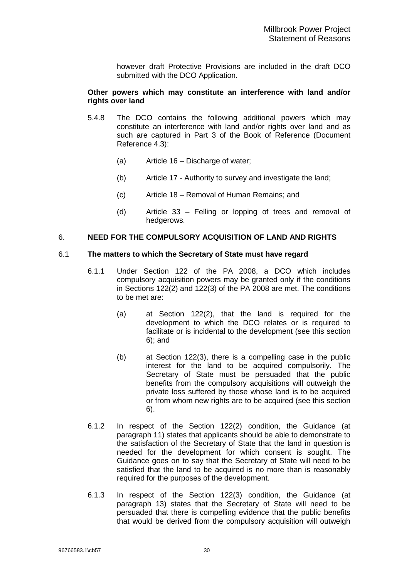however draft Protective Provisions are included in the draft DCO submitted with the DCO Application.

#### <span id="page-31-0"></span>**Other powers which may constitute an interference with land and/or rights over land**

- 5.4.8 The DCO contains the following additional powers which may constitute an interference with land and/or rights over land and as such are captured in Part 3 of the Book of Reference (Document Reference 4.3):
	- (a) Article 16 Discharge of water;
	- (b) Article 17 Authority to survey and investigate the land;
	- (c) Article 18 Removal of Human Remains; and
	- (d) Article 33 Felling or lopping of trees and removal of hedgerows.

#### <span id="page-31-1"></span>6. **NEED FOR THE COMPULSORY ACQUISITION OF LAND AND RIGHTS**

#### 6.1 **The matters to which the Secretary of State must have regard**

- 6.1.1 Under Section 122 of the PA 2008, a DCO which includes compulsory acquisition powers may be granted only if the conditions in Sections 122(2) and 122(3) of the PA 2008 are met. The conditions to be met are:
	- (a) at Section 122(2), that the land is required for the development to which the DCO relates or is required to facilitate or is incidental to the development (see this section [6\)](#page-31-1); and
	- (b) at Section 122(3), there is a compelling case in the public interest for the land to be acquired compulsorily. The Secretary of State must be persuaded that the public benefits from the compulsory acquisitions will outweigh the private loss suffered by those whose land is to be acquired or from whom new rights are to be acquired (see this section [6\)](#page-31-1).
- 6.1.2 In respect of the Section 122(2) condition, the Guidance (at paragraph 11) states that applicants should be able to demonstrate to the satisfaction of the Secretary of State that the land in question is needed for the development for which consent is sought. The Guidance goes on to say that the Secretary of State will need to be satisfied that the land to be acquired is no more than is reasonably required for the purposes of the development.
- 6.1.3 In respect of the Section 122(3) condition, the Guidance (at paragraph 13) states that the Secretary of State will need to be persuaded that there is compelling evidence that the public benefits that would be derived from the compulsory acquisition will outweigh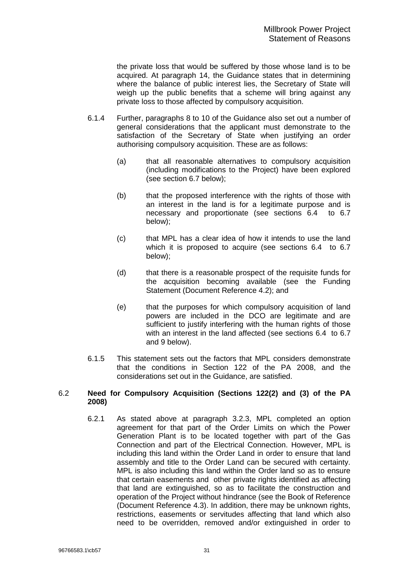the private loss that would be suffered by those whose land is to be acquired. At paragraph 14, the Guidance states that in determining where the balance of public interest lies, the Secretary of State will weigh up the public benefits that a scheme will bring against any private loss to those affected by compulsory acquisition.

- 6.1.4 Further, paragraphs 8 to 10 of the Guidance also set out a number of general considerations that the applicant must demonstrate to the satisfaction of the Secretary of State when justifying an order authorising compulsory acquisition. These are as follows:
	- (a) that all reasonable alternatives to compulsory acquisition (including modifications to the Project) have been explored (see section [6.7](#page-44-0) below);
	- (b) that the proposed interference with the rights of those with an interest in the land is for a legitimate purpose and is necessary and proportionate (see sections [6.4](#page-34-0) to [6.7](#page-44-0) below);
	- (c) that MPL has a clear idea of how it intends to use the land which it is proposed to acquire (see sections [6.4](#page-34-0) to [6.7](#page-44-0) below);
	- (d) that there is a reasonable prospect of the requisite funds for the acquisition becoming available (see the Funding Statement (Document Reference 4.2); and
	- (e) that the purposes for which compulsory acquisition of land powers are included in the DCO are legitimate and are sufficient to justify interfering with the human rights of those with an interest in the land affected (see sections [6.4](#page-34-0) to [6.7](#page-44-0) and [9](#page-54-1) below).
- 6.1.5 This statement sets out the factors that MPL considers demonstrate that the conditions in Section 122 of the PA 2008, and the considerations set out in the Guidance, are satisfied.

## 6.2 **Need for Compulsory Acquisition (Sections 122(2) and (3) of the PA 2008)**

6.2.1 As stated above at paragraph [3.2.3,](#page-25-0) MPL completed an option agreement for that part of the Order Limits on which the Power Generation Plant is to be located together with part of the Gas Connection and part of the Electrical Connection. However, MPL is including this land within the Order Land in order to ensure that land assembly and title to the Order Land can be secured with certainty. MPL is also including this land within the Order land so as to ensure that certain easements and other private rights identified as affecting that land are extinguished, so as to facilitate the construction and operation of the Project without hindrance (see the Book of Reference (Document Reference 4.3). In addition, there may be unknown rights, restrictions, easements or servitudes affecting that land which also need to be overridden, removed and/or extinguished in order to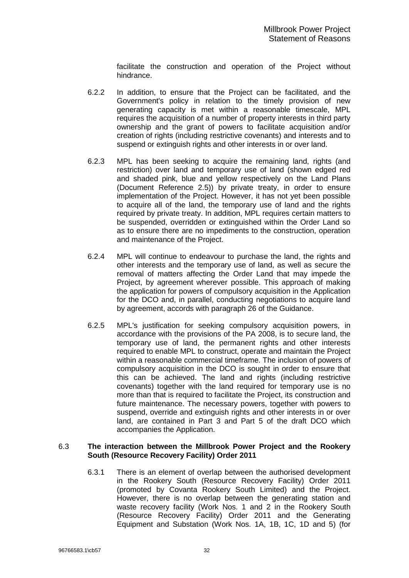facilitate the construction and operation of the Project without hindrance.

- 6.2.2 In addition, to ensure that the Project can be facilitated, and the Government's policy in relation to the timely provision of new generating capacity is met within a reasonable timescale, MPL requires the acquisition of a number of property interests in third party ownership and the grant of powers to facilitate acquisition and/or creation of rights (including restrictive covenants) and interests and to suspend or extinguish rights and other interests in or over land.
- 6.2.3 MPL has been seeking to acquire the remaining land, rights (and restriction) over land and temporary use of land (shown edged red and shaded pink, blue and yellow respectively on the Land Plans (Document Reference 2.5)) by private treaty, in order to ensure implementation of the Project. However, it has not yet been possible to acquire all of the land, the temporary use of land and the rights required by private treaty. In addition, MPL requires certain matters to be suspended, overridden or extinguished within the Order Land so as to ensure there are no impediments to the construction, operation and maintenance of the Project.
- 6.2.4 MPL will continue to endeavour to purchase the land, the rights and other interests and the temporary use of land, as well as secure the removal of matters affecting the Order Land that may impede the Project, by agreement wherever possible. This approach of making the application for powers of compulsory acquisition in the Application for the DCO and, in parallel, conducting negotiations to acquire land by agreement, accords with paragraph 26 of the Guidance.
- 6.2.5 MPL's justification for seeking compulsory acquisition powers, in accordance with the provisions of the PA 2008, is to secure land, the temporary use of land, the permanent rights and other interests required to enable MPL to construct, operate and maintain the Project within a reasonable commercial timeframe. The inclusion of powers of compulsory acquisition in the DCO is sought in order to ensure that this can be achieved. The land and rights (including restrictive covenants) together with the land required for temporary use is no more than that is required to facilitate the Project, its construction and future maintenance. The necessary powers, together with powers to suspend, override and extinguish rights and other interests in or over land, are contained in Part 3 and Part 5 of the draft DCO which accompanies the Application.

#### 6.3 **The interaction between the Millbrook Power Project and the Rookery South (Resource Recovery Facility) Order 2011**

6.3.1 There is an element of overlap between the authorised development in the Rookery South (Resource Recovery Facility) Order 2011 (promoted by Covanta Rookery South Limited) and the Project. However, there is no overlap between the generating station and waste recovery facility (Work Nos. 1 and 2 in the Rookery South (Resource Recovery Facility) Order 2011 and the Generating Equipment and Substation (Work Nos. 1A, 1B, 1C, 1D and 5) (for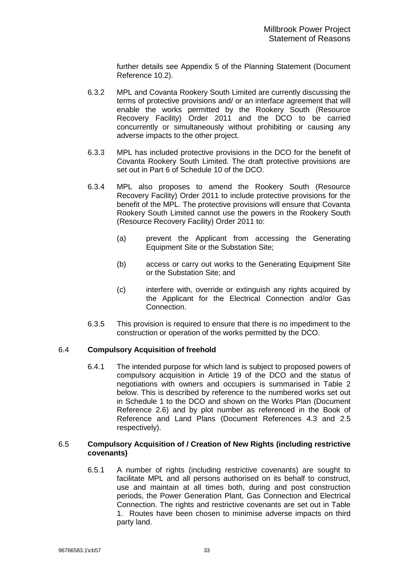further details see Appendix 5 of the Planning Statement (Document Reference 10.2).

- 6.3.2 MPL and Covanta Rookery South Limited are currently discussing the terms of protective provisions and/ or an interface agreement that will enable the works permitted by the Rookery South (Resource Recovery Facility) Order 2011 and the DCO to be carried concurrently or simultaneously without prohibiting or causing any adverse impacts to the other project.
- 6.3.3 MPL has included protective provisions in the DCO for the benefit of Covanta Rookery South Limited. The draft protective provisions are set out in Part 6 of Schedule 10 of the DCO.
- 6.3.4 MPL also proposes to amend the Rookery South (Resource Recovery Facility) Order 2011 to include protective provisions for the benefit of the MPL. The protective provisions will ensure that Covanta Rookery South Limited cannot use the powers in the Rookery South (Resource Recovery Facility) Order 2011 to:
	- (a) prevent the Applicant from accessing the Generating Equipment Site or the Substation Site;
	- (b) access or carry out works to the Generating Equipment Site or the Substation Site; and
	- (c) interfere with, override or extinguish any rights acquired by the Applicant for the Electrical Connection and/or Gas Connection.
- 6.3.5 This provision is required to ensure that there is no impediment to the construction or operation of the works permitted by the DCO.

## <span id="page-34-0"></span>6.4 **Compulsory Acquisition of freehold**

6.4.1 The intended purpose for which land is subject to proposed powers of compulsory acquisition in Article 19 of the DCO and the status of negotiations with owners and occupiers is summarised in Table 2 below. This is described by reference to the numbered works set out in Schedule 1 to the DCO and shown on the Works Plan (Document Reference 2.6) and by plot number as referenced in the Book of Reference and Land Plans (Document References 4.3 and 2.5 respectively).

#### 6.5 **Compulsory Acquisition of / Creation of New Rights (including restrictive covenants)**

6.5.1 A number of rights (including restrictive covenants) are sought to facilitate MPL and all persons authorised on its behalf to construct, use and maintain at all times both, during and post construction periods, the Power Generation Plant, Gas Connection and Electrical Connection. The rights and restrictive covenants are set out in Table 1. Routes have been chosen to minimise adverse impacts on third party land.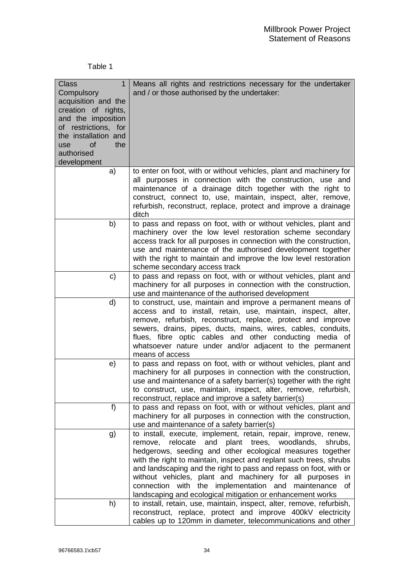## Table 1

| <b>Class</b><br>1<br>Compulsory<br>acquisition and the<br>creation of rights,<br>and the imposition<br>of restrictions, for<br>the installation and<br>the<br>of<br>use<br>authorised<br>development | Means all rights and restrictions necessary for the undertaker<br>and / or those authorised by the undertaker:                                                                                                                                                                                                                                                                                                                                                                                                                        |
|------------------------------------------------------------------------------------------------------------------------------------------------------------------------------------------------------|---------------------------------------------------------------------------------------------------------------------------------------------------------------------------------------------------------------------------------------------------------------------------------------------------------------------------------------------------------------------------------------------------------------------------------------------------------------------------------------------------------------------------------------|
| a)                                                                                                                                                                                                   | to enter on foot, with or without vehicles, plant and machinery for                                                                                                                                                                                                                                                                                                                                                                                                                                                                   |
|                                                                                                                                                                                                      | all purposes in connection with the construction, use and<br>maintenance of a drainage ditch together with the right to<br>construct, connect to, use, maintain, inspect, alter, remove,<br>refurbish, reconstruct, replace, protect and improve a drainage<br>ditch                                                                                                                                                                                                                                                                  |
| b)                                                                                                                                                                                                   | to pass and repass on foot, with or without vehicles, plant and                                                                                                                                                                                                                                                                                                                                                                                                                                                                       |
|                                                                                                                                                                                                      | machinery over the low level restoration scheme secondary<br>access track for all purposes in connection with the construction,<br>use and maintenance of the authorised development together<br>with the right to maintain and improve the low level restoration<br>scheme secondary access track                                                                                                                                                                                                                                    |
| C)                                                                                                                                                                                                   | to pass and repass on foot, with or without vehicles, plant and<br>machinery for all purposes in connection with the construction,<br>use and maintenance of the authorised development                                                                                                                                                                                                                                                                                                                                               |
| d)                                                                                                                                                                                                   | to construct, use, maintain and improve a permanent means of<br>access and to install, retain, use, maintain, inspect, alter,<br>remove, refurbish, reconstruct, replace, protect and improve<br>sewers, drains, pipes, ducts, mains, wires, cables, conduits,<br>flues, fibre optic cables and other conducting media of<br>whatsoever nature under and/or adjacent to the permanent<br>means of access                                                                                                                              |
| e)                                                                                                                                                                                                   | to pass and repass on foot, with or without vehicles, plant and<br>machinery for all purposes in connection with the construction,<br>use and maintenance of a safety barrier(s) together with the right<br>to construct, use, maintain, inspect, alter, remove, refurbish,<br>reconstruct, replace and improve a safety barrier(s)                                                                                                                                                                                                   |
| f)                                                                                                                                                                                                   | to pass and repass on foot, with or without vehicles, plant and<br>machinery for all purposes in connection with the construction,<br>use and maintenance of a safety barrier(s)                                                                                                                                                                                                                                                                                                                                                      |
| g)                                                                                                                                                                                                   | to install, execute, implement, retain, repair, improve, renew,<br>relocate<br>and<br>plant trees, woodlands,<br>remove,<br>shrubs,<br>hedgerows, seeding and other ecological measures together<br>with the right to maintain, inspect and replant such trees, shrubs<br>and landscaping and the right to pass and repass on foot, with or<br>without vehicles, plant and machinery for all purposes in<br>with the implementation and maintenance<br>connection<br>οf<br>landscaping and ecological mitigation or enhancement works |
| h)                                                                                                                                                                                                   | to install, retain, use, maintain, inspect, alter, remove, refurbish,<br>reconstruct, replace, protect and improve 400kV electricity<br>cables up to 120mm in diameter, telecommunications and other                                                                                                                                                                                                                                                                                                                                  |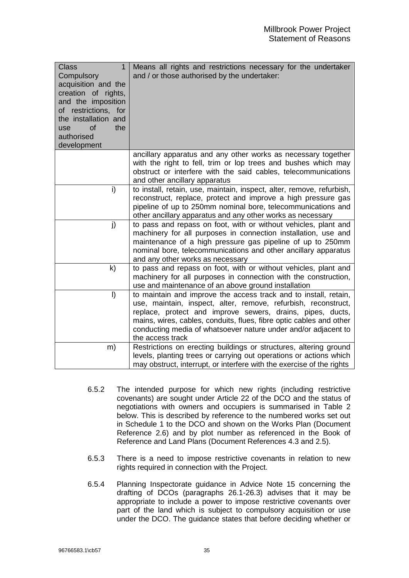| <b>Class</b><br>1<br>Compulsory<br>acquisition and the<br>creation of rights,<br>and the imposition<br>of restrictions, for<br>the installation and<br>of<br>the<br>use<br>authorised<br>development | Means all rights and restrictions necessary for the undertaker<br>and / or those authorised by the undertaker:                                                                                                                                                                                                                                                |
|------------------------------------------------------------------------------------------------------------------------------------------------------------------------------------------------------|---------------------------------------------------------------------------------------------------------------------------------------------------------------------------------------------------------------------------------------------------------------------------------------------------------------------------------------------------------------|
|                                                                                                                                                                                                      | ancillary apparatus and any other works as necessary together<br>with the right to fell, trim or lop trees and bushes which may<br>obstruct or interfere with the said cables, telecommunications<br>and other ancillary apparatus                                                                                                                            |
| i)                                                                                                                                                                                                   | to install, retain, use, maintain, inspect, alter, remove, refurbish,<br>reconstruct, replace, protect and improve a high pressure gas<br>pipeline of up to 250mm nominal bore, telecommunications and<br>other ancillary apparatus and any other works as necessary                                                                                          |
| j)                                                                                                                                                                                                   | to pass and repass on foot, with or without vehicles, plant and<br>machinery for all purposes in connection installation, use and<br>maintenance of a high pressure gas pipeline of up to 250mm<br>nominal bore, telecommunications and other ancillary apparatus<br>and any other works as necessary                                                         |
| $\mathsf{k}$                                                                                                                                                                                         | to pass and repass on foot, with or without vehicles, plant and<br>machinery for all purposes in connection with the construction,<br>use and maintenance of an above ground installation                                                                                                                                                                     |
| $\vert$                                                                                                                                                                                              | to maintain and improve the access track and to install, retain,<br>use, maintain, inspect, alter, remove, refurbish, reconstruct,<br>replace, protect and improve sewers, drains, pipes, ducts,<br>mains, wires, cables, conduits, flues, fibre optic cables and other<br>conducting media of whatsoever nature under and/or adjacent to<br>the access track |
| m)                                                                                                                                                                                                   | Restrictions on erecting buildings or structures, altering ground<br>levels, planting trees or carrying out operations or actions which<br>may obstruct, interrupt, or interfere with the exercise of the rights                                                                                                                                              |

- 6.5.2 The intended purpose for which new rights (including restrictive covenants) are sought under Article 22 of the DCO and the status of negotiations with owners and occupiers is summarised in Table 2 below. This is described by reference to the numbered works set out in Schedule 1 to the DCO and shown on the Works Plan (Document Reference 2.6) and by plot number as referenced in the Book of Reference and Land Plans (Document References 4.3 and 2.5).
- 6.5.3 There is a need to impose restrictive covenants in relation to new rights required in connection with the Project.
- 6.5.4 Planning Inspectorate guidance in Advice Note 15 concerning the drafting of DCOs (paragraphs 26.1-26.3) advises that it may be appropriate to include a power to impose restrictive covenants over part of the land which is subject to compulsory acquisition or use under the DCO. The guidance states that before deciding whether or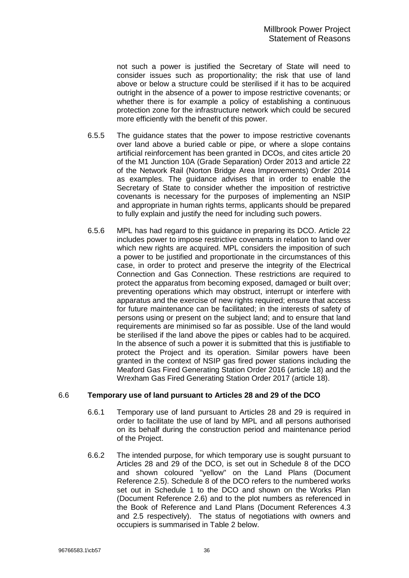not such a power is justified the Secretary of State will need to consider issues such as proportionality; the risk that use of land above or below a structure could be sterilised if it has to be acquired outright in the absence of a power to impose restrictive covenants; or whether there is for example a policy of establishing a continuous protection zone for the infrastructure network which could be secured more efficiently with the benefit of this power.

- 6.5.5 The guidance states that the power to impose restrictive covenants over land above a buried cable or pipe, or where a slope contains artificial reinforcement has been granted in DCOs, and cites article 20 of the M1 Junction 10A (Grade Separation) Order 2013 and article 22 of the Network Rail (Norton Bridge Area Improvements) Order 2014 as examples. The guidance advises that in order to enable the Secretary of State to consider whether the imposition of restrictive covenants is necessary for the purposes of implementing an NSIP and appropriate in human rights terms, applicants should be prepared to fully explain and justify the need for including such powers.
- 6.5.6 MPL has had regard to this guidance in preparing its DCO. Article 22 includes power to impose restrictive covenants in relation to land over which new rights are acquired. MPL considers the imposition of such a power to be justified and proportionate in the circumstances of this case, in order to protect and preserve the integrity of the Electrical Connection and Gas Connection. These restrictions are required to protect the apparatus from becoming exposed, damaged or built over; preventing operations which may obstruct, interrupt or interfere with apparatus and the exercise of new rights required; ensure that access for future maintenance can be facilitated; in the interests of safety of persons using or present on the subject land; and to ensure that land requirements are minimised so far as possible. Use of the land would be sterilised if the land above the pipes or cables had to be acquired. In the absence of such a power it is submitted that this is justifiable to protect the Project and its operation. Similar powers have been granted in the context of NSIP gas fired power stations including the Meaford Gas Fired Generating Station Order 2016 (article 18) and the Wrexham Gas Fired Generating Station Order 2017 (article 18).

## <span id="page-37-0"></span>6.6 **Temporary use of land pursuant to Articles 28 and 29 of the DCO**

- 6.6.1 Temporary use of land pursuant to Articles 28 and 29 is required in order to facilitate the use of land by MPL and all persons authorised on its behalf during the construction period and maintenance period of the Project.
- 6.6.2 The intended purpose, for which temporary use is sought pursuant to Articles 28 and 29 of the DCO, is set out in Schedule 8 of the DCO and shown coloured "yellow" on the Land Plans (Document Reference 2.5). Schedule 8 of the DCO refers to the numbered works set out in Schedule 1 to the DCO and shown on the Works Plan (Document Reference 2.6) and to the plot numbers as referenced in the Book of Reference and Land Plans (Document References 4.3 and 2.5 respectively). The status of negotiations with owners and occupiers is summarised in Table 2 below.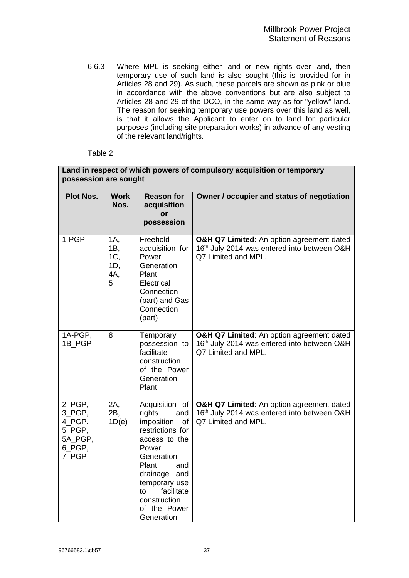6.6.3 Where MPL is seeking either land or new rights over land, then temporary use of such land is also sought (this is provided for in Articles 28 and 29). As such, these parcels are shown as pink or blue in accordance with the above conventions but are also subject to Articles 28 and 29 of the DCO, in the same way as for "yellow" land. The reason for seeking temporary use powers over this land as well, is that it allows the Applicant to enter on to land for particular purposes (including site preparation works) in advance of any vesting of the relevant land/rights.

#### Table 2

|                                                                    | Land in respect of which powers of compulsory acquisition or temporary<br>possession are sought |                                                                                                                                                                                                                                       |                                                                                                                 |
|--------------------------------------------------------------------|-------------------------------------------------------------------------------------------------|---------------------------------------------------------------------------------------------------------------------------------------------------------------------------------------------------------------------------------------|-----------------------------------------------------------------------------------------------------------------|
| <b>Plot Nos.</b>                                                   | <b>Work</b><br>Nos.                                                                             | <b>Reason for</b><br>acquisition<br>or<br>possession                                                                                                                                                                                  | Owner / occupier and status of negotiation                                                                      |
| 1-PGP                                                              | 1A,<br>1B,<br>1C,<br>1D,<br>4A,<br>5                                                            | Freehold<br>acquisition for<br>Power<br>Generation<br>Plant,<br>Electrical<br>Connection<br>(part) and Gas<br>Connection<br>(part)                                                                                                    | O&H Q7 Limited: An option agreement dated<br>16th July 2014 was entered into between O&H<br>Q7 Limited and MPL. |
| 1A-PGP,<br>1B PGP                                                  | 8                                                                                               | Temporary<br>possession to<br>facilitate<br>construction<br>of the Power<br>Generation<br>Plant                                                                                                                                       | O&H Q7 Limited: An option agreement dated<br>16th July 2014 was entered into between O&H<br>Q7 Limited and MPL. |
| 2 PGP,<br>3_PGP,<br>4 PGP.<br>5_PGP,<br>5A PGP,<br>6_PGP,<br>7_PGP | 2A,<br>2B,<br>1D(e)                                                                             | Acquisition of<br>rights<br>and<br>imposition<br>of<br>restrictions for<br>access to the<br>Power<br>Generation<br>Plant<br>and<br>drainage<br>and<br>temporary use<br>facilitate<br>to<br>construction<br>of the Power<br>Generation | O&H Q7 Limited: An option agreement dated<br>16th July 2014 was entered into between O&H<br>Q7 Limited and MPL. |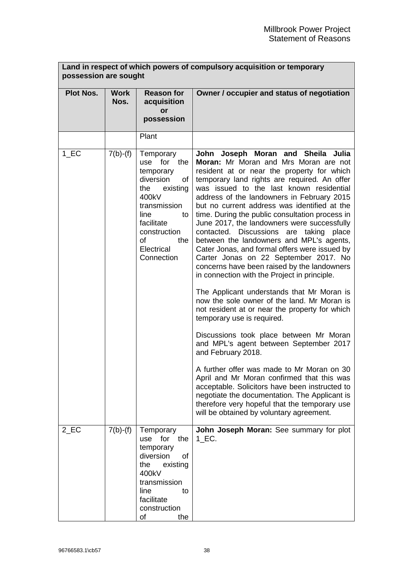|                    | Land in respect of which powers of compulsory acquisition or temporary<br>possession are sought |                                                                                                                                                                                           |                                                                                                                                                                                                                                                                                                                                                                                                                                                                                                                                                                                                                                                                                                                                                                                                                                                                                                                                                                                                                                                                                                                                                                                                 |
|--------------------|-------------------------------------------------------------------------------------------------|-------------------------------------------------------------------------------------------------------------------------------------------------------------------------------------------|-------------------------------------------------------------------------------------------------------------------------------------------------------------------------------------------------------------------------------------------------------------------------------------------------------------------------------------------------------------------------------------------------------------------------------------------------------------------------------------------------------------------------------------------------------------------------------------------------------------------------------------------------------------------------------------------------------------------------------------------------------------------------------------------------------------------------------------------------------------------------------------------------------------------------------------------------------------------------------------------------------------------------------------------------------------------------------------------------------------------------------------------------------------------------------------------------|
| <b>Plot Nos.</b>   | <b>Work</b><br>Nos.                                                                             | <b>Reason for</b><br>acquisition<br>or<br>possession                                                                                                                                      | Owner / occupier and status of negotiation                                                                                                                                                                                                                                                                                                                                                                                                                                                                                                                                                                                                                                                                                                                                                                                                                                                                                                                                                                                                                                                                                                                                                      |
|                    |                                                                                                 | Plant                                                                                                                                                                                     |                                                                                                                                                                                                                                                                                                                                                                                                                                                                                                                                                                                                                                                                                                                                                                                                                                                                                                                                                                                                                                                                                                                                                                                                 |
| 1 EC               | $7(b)-(f)$                                                                                      | Temporary<br>use for the<br>temporary<br>diversion<br>of<br>existing<br>the<br>400kV<br>transmission<br>line<br>to<br>facilitate<br>construction<br>of<br>the<br>Electrical<br>Connection | John Joseph Moran and Sheila Julia<br>Moran: Mr Moran and Mrs Moran are not<br>resident at or near the property for which<br>temporary land rights are required. An offer<br>was issued to the last known residential<br>address of the landowners in February 2015<br>but no current address was identified at the<br>time. During the public consultation process in<br>June 2017, the landowners were successfully<br>contacted. Discussions are taking<br>place<br>between the landowners and MPL's agents,<br>Cater Jonas, and formal offers were issued by<br>Carter Jonas on 22 September 2017. No<br>concerns have been raised by the landowners<br>in connection with the Project in principle.<br>The Applicant understands that Mr Moran is<br>now the sole owner of the land. Mr Moran is<br>not resident at or near the property for which<br>temporary use is required.<br>Discussions took place between Mr Moran<br>and MPL's agent between September 2017<br>and February 2018.<br>A further offer was made to Mr Moran on 30<br>April and Mr Moran confirmed that this was<br>acceptable. Solicitors have been instructed to<br>negotiate the documentation. The Applicant is |
|                    |                                                                                                 |                                                                                                                                                                                           | therefore very hopeful that the temporary use<br>will be obtained by voluntary agreement.                                                                                                                                                                                                                                                                                                                                                                                                                                                                                                                                                                                                                                                                                                                                                                                                                                                                                                                                                                                                                                                                                                       |
| $2$ <sub>_EC</sub> | $7(b)-(f)$                                                                                      | Temporary<br>use for the<br>temporary<br>diversion<br>οf<br>the<br>existing<br>400kV<br>transmission<br>line<br>to<br>facilitate<br>construction<br>of<br>the                             | John Joseph Moran: See summary for plot<br>$1$ <sub>_EC</sub> .                                                                                                                                                                                                                                                                                                                                                                                                                                                                                                                                                                                                                                                                                                                                                                                                                                                                                                                                                                                                                                                                                                                                 |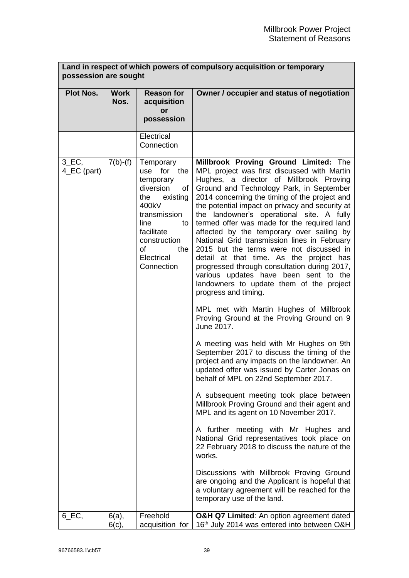| Land in respect of which powers of compulsory acquisition or temporary<br>possession are sought |                      |                                                                                                                                                                                           |                                                                                                                                                                                                                                                                                                                                                                                                                                                                                                                                                                                                                                                                                                                                                                                                                                                                                                                                                                                                                                                                                                                                                                                                                                                                                                                                                                                                                                                                                                                                           |
|-------------------------------------------------------------------------------------------------|----------------------|-------------------------------------------------------------------------------------------------------------------------------------------------------------------------------------------|-------------------------------------------------------------------------------------------------------------------------------------------------------------------------------------------------------------------------------------------------------------------------------------------------------------------------------------------------------------------------------------------------------------------------------------------------------------------------------------------------------------------------------------------------------------------------------------------------------------------------------------------------------------------------------------------------------------------------------------------------------------------------------------------------------------------------------------------------------------------------------------------------------------------------------------------------------------------------------------------------------------------------------------------------------------------------------------------------------------------------------------------------------------------------------------------------------------------------------------------------------------------------------------------------------------------------------------------------------------------------------------------------------------------------------------------------------------------------------------------------------------------------------------------|
| <b>Plot Nos.</b>                                                                                | <b>Work</b><br>Nos.  | <b>Reason for</b><br>acquisition<br>or<br>possession                                                                                                                                      | Owner / occupier and status of negotiation                                                                                                                                                                                                                                                                                                                                                                                                                                                                                                                                                                                                                                                                                                                                                                                                                                                                                                                                                                                                                                                                                                                                                                                                                                                                                                                                                                                                                                                                                                |
|                                                                                                 |                      | Electrical<br>Connection                                                                                                                                                                  |                                                                                                                                                                                                                                                                                                                                                                                                                                                                                                                                                                                                                                                                                                                                                                                                                                                                                                                                                                                                                                                                                                                                                                                                                                                                                                                                                                                                                                                                                                                                           |
| $3$ <sub>_</sub> EC <sub>,</sub><br>4_EC (part)                                                 | $7(b)-(f)$           | Temporary<br>use for the<br>temporary<br>diversion<br>οf<br>the<br>existing<br>400kV<br>transmission<br>line<br>to<br>facilitate<br>construction<br>of<br>the<br>Electrical<br>Connection | Millbrook Proving Ground Limited: The<br>MPL project was first discussed with Martin<br>Hughes, a director of Millbrook Proving<br>Ground and Technology Park, in September<br>2014 concerning the timing of the project and<br>the potential impact on privacy and security at<br>the landowner's operational site. A fully<br>termed offer was made for the required land<br>affected by the temporary over sailing by<br>National Grid transmission lines in February<br>2015 but the terms were not discussed in<br>detail at that time. As the project has<br>progressed through consultation during 2017,<br>various updates have been sent to the<br>landowners to update them of the project<br>progress and timing.<br>MPL met with Martin Hughes of Millbrook<br>Proving Ground at the Proving Ground on 9<br>June 2017.<br>A meeting was held with Mr Hughes on 9th<br>September 2017 to discuss the timing of the<br>project and any impacts on the landowner. An<br>updated offer was issued by Carter Jonas on<br>behalf of MPL on 22nd September 2017.<br>A subsequent meeting took place between<br>Millbrook Proving Ground and their agent and<br>MPL and its agent on 10 November 2017.<br>A further meeting with Mr Hughes and<br>National Grid representatives took place on<br>22 February 2018 to discuss the nature of the<br>works.<br>Discussions with Millbrook Proving Ground<br>are ongoing and the Applicant is hopeful that<br>a voluntary agreement will be reached for the<br>temporary use of the land. |
| $6$ <sub>_EC</sub> ,                                                                            | $6(a)$ ,<br>$6(c)$ , | Freehold<br>acquisition for                                                                                                                                                               | O&H Q7 Limited: An option agreement dated<br>16th July 2014 was entered into between O&H                                                                                                                                                                                                                                                                                                                                                                                                                                                                                                                                                                                                                                                                                                                                                                                                                                                                                                                                                                                                                                                                                                                                                                                                                                                                                                                                                                                                                                                  |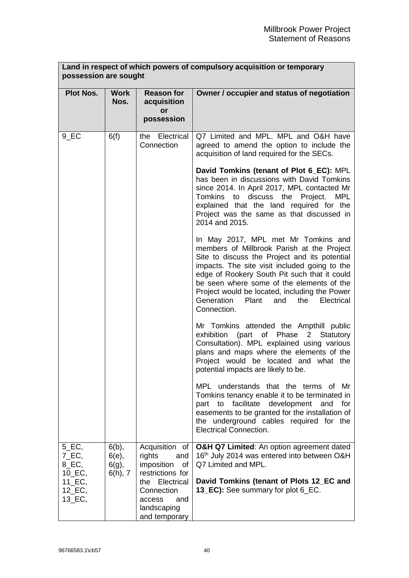|                                                    | Land in respect of which powers of compulsory acquisition or temporary<br>possession are sought |                                                                               |                                                                                                                                                                                                                                                                                                                                                                                                     |
|----------------------------------------------------|-------------------------------------------------------------------------------------------------|-------------------------------------------------------------------------------|-----------------------------------------------------------------------------------------------------------------------------------------------------------------------------------------------------------------------------------------------------------------------------------------------------------------------------------------------------------------------------------------------------|
| <b>Plot Nos.</b>                                   | <b>Work</b><br>Nos.                                                                             | <b>Reason for</b><br>acquisition<br>or<br>possession                          | Owner / occupier and status of negotiation                                                                                                                                                                                                                                                                                                                                                          |
| 9 EC                                               | 6(f)                                                                                            | the Electrical<br>Connection                                                  | Q7 Limited and MPL. MPL and O&H have<br>agreed to amend the option to include the<br>acquisition of land required for the SECs.                                                                                                                                                                                                                                                                     |
|                                                    |                                                                                                 |                                                                               | David Tomkins (tenant of Plot 6_EC): MPL<br>has been in discussions with David Tomkins<br>since 2014. In April 2017, MPL contacted Mr<br>discuss the Project. MPL<br>Tomkins<br>to<br>explained that the land required for the<br>Project was the same as that discussed in<br>2014 and 2015.                                                                                                       |
|                                                    |                                                                                                 |                                                                               | In May 2017, MPL met Mr Tomkins and<br>members of Millbrook Parish at the Project<br>Site to discuss the Project and its potential<br>impacts. The site visit included going to the<br>edge of Rookery South Pit such that it could<br>be seen where some of the elements of the<br>Project would be located, including the Power<br>Generation<br>Electrical<br>Plant<br>and<br>the<br>Connection. |
|                                                    |                                                                                                 |                                                                               | Mr Tomkins attended the Ampthill public<br>exhibition (part of Phase<br>$2^{\circ}$<br>Statutory<br>Consultation). MPL explained using various<br>plans and maps where the elements of the<br>Project would be located and what the<br>potential impacts are likely to be.                                                                                                                          |
|                                                    |                                                                                                 |                                                                               | MPL understands that the terms of Mr<br>Tomkins tenancy enable it to be terminated in<br>facilitate<br>development<br>to<br>and<br>for<br>part<br>easements to be granted for the installation of<br>the underground cables required for the<br><b>Electrical Connection.</b>                                                                                                                       |
| $5$ <sub>_EC</sub> ,<br>7_EC,<br>8_EC,<br>$10$ EC, | $6(b)$ ,<br>6(e),<br>$6(g)$ ,<br>$6(h)$ , 7                                                     | Acquisition of<br>rights<br>and<br>imposition<br>of<br>restrictions for       | O&H Q7 Limited: An option agreement dated<br>16th July 2014 was entered into between O&H<br>Q7 Limited and MPL.                                                                                                                                                                                                                                                                                     |
| $11$ <sub>-EC</sub> ,<br>12_EC,<br>13_EC,          |                                                                                                 | the Electrical<br>Connection<br>access<br>and<br>landscaping<br>and temporary | David Tomkins (tenant of Plots 12_EC and<br>13_EC): See summary for plot 6_EC.                                                                                                                                                                                                                                                                                                                      |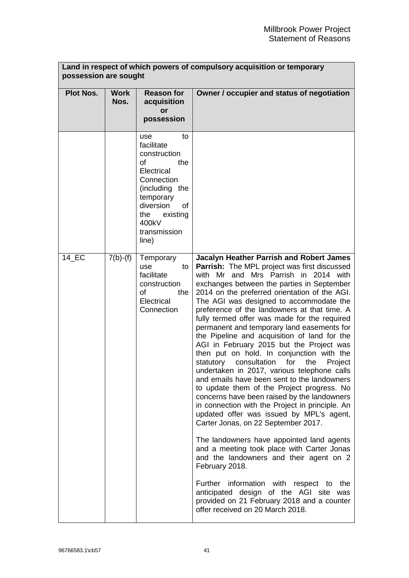$\overline{\phantom{0}}$ 

| Land in respect of which powers of compulsory acquisition or temporary<br>possession are sought |                     |                                                                                                                                                                                         |                                                                                                                                                                                                                                                                                                                                                                                                                                                                                                                                                                                                                                                                                                                                                                                                                                                                                                                                                                                                                     |
|-------------------------------------------------------------------------------------------------|---------------------|-----------------------------------------------------------------------------------------------------------------------------------------------------------------------------------------|---------------------------------------------------------------------------------------------------------------------------------------------------------------------------------------------------------------------------------------------------------------------------------------------------------------------------------------------------------------------------------------------------------------------------------------------------------------------------------------------------------------------------------------------------------------------------------------------------------------------------------------------------------------------------------------------------------------------------------------------------------------------------------------------------------------------------------------------------------------------------------------------------------------------------------------------------------------------------------------------------------------------|
| <b>Plot Nos.</b>                                                                                | <b>Work</b><br>Nos. | <b>Reason for</b><br>acquisition<br>or<br>possession                                                                                                                                    | Owner / occupier and status of negotiation                                                                                                                                                                                                                                                                                                                                                                                                                                                                                                                                                                                                                                                                                                                                                                                                                                                                                                                                                                          |
|                                                                                                 |                     | to<br>use<br>facilitate<br>construction<br>οf<br>the<br>Electrical<br>Connection<br>(including the<br>temporary<br>diversion<br>οf<br>existing<br>the<br>400kV<br>transmission<br>line) |                                                                                                                                                                                                                                                                                                                                                                                                                                                                                                                                                                                                                                                                                                                                                                                                                                                                                                                                                                                                                     |
| 14 EC                                                                                           | $7(b)-(f)$          | Temporary<br>use<br>to<br>facilitate<br>construction<br>Ωf<br>the<br>Electrical<br>Connection                                                                                           | <b>Jacalyn Heather Parrish and Robert James</b><br><b>Parrish:</b> The MPL project was first discussed<br>with Mr and Mrs Parrish in 2014 with<br>exchanges between the parties in September<br>2014 on the preferred orientation of the AGI.<br>The AGI was designed to accommodate the<br>preference of the landowners at that time. A<br>fully termed offer was made for the required<br>permanent and temporary land easements for<br>the Pipeline and acquisition of land for the<br>AGI in February 2015 but the Project was<br>then put on hold. In conjunction with the<br>for<br>statutory<br>consultation<br>the<br>Project<br>undertaken in 2017, various telephone calls<br>and emails have been sent to the landowners<br>to update them of the Project progress. No<br>concerns have been raised by the landowners<br>in connection with the Project in principle. An<br>updated offer was issued by MPL's agent,<br>Carter Jonas, on 22 September 2017.<br>The landowners have appointed land agents |
|                                                                                                 |                     |                                                                                                                                                                                         | and a meeting took place with Carter Jonas<br>and the landowners and their agent on 2<br>February 2018.                                                                                                                                                                                                                                                                                                                                                                                                                                                                                                                                                                                                                                                                                                                                                                                                                                                                                                             |
|                                                                                                 |                     |                                                                                                                                                                                         | Further information with respect to the<br>anticipated design of the AGI site was<br>provided on 21 February 2018 and a counter<br>offer received on 20 March 2018.                                                                                                                                                                                                                                                                                                                                                                                                                                                                                                                                                                                                                                                                                                                                                                                                                                                 |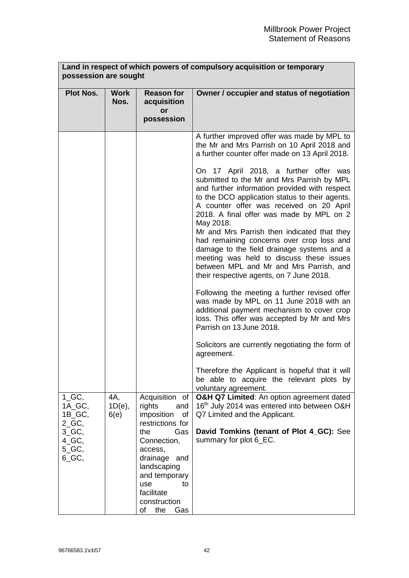|                                                      | Land in respect of which powers of compulsory acquisition or temporary<br>possession are sought |                                                                                                                                                                         |                                                                                                                                                                                                                                                                                                                                                                                                                                                                                                                                                                          |
|------------------------------------------------------|-------------------------------------------------------------------------------------------------|-------------------------------------------------------------------------------------------------------------------------------------------------------------------------|--------------------------------------------------------------------------------------------------------------------------------------------------------------------------------------------------------------------------------------------------------------------------------------------------------------------------------------------------------------------------------------------------------------------------------------------------------------------------------------------------------------------------------------------------------------------------|
| <b>Plot Nos.</b>                                     | <b>Work</b><br>Nos.                                                                             | <b>Reason for</b><br>acquisition<br>or<br>possession                                                                                                                    | Owner / occupier and status of negotiation                                                                                                                                                                                                                                                                                                                                                                                                                                                                                                                               |
|                                                      |                                                                                                 |                                                                                                                                                                         | A further improved offer was made by MPL to<br>the Mr and Mrs Parrish on 10 April 2018 and<br>a further counter offer made on 13 April 2018.                                                                                                                                                                                                                                                                                                                                                                                                                             |
|                                                      |                                                                                                 |                                                                                                                                                                         | On 17 April 2018, a further offer was<br>submitted to the Mr and Mrs Parrish by MPL<br>and further information provided with respect<br>to the DCO application status to their agents.<br>A counter offer was received on 20 April<br>2018. A final offer was made by MPL on 2<br>May 2018.<br>Mr and Mrs Parrish then indicated that they<br>had remaining concerns over crop loss and<br>damage to the field drainage systems and a<br>meeting was held to discuss these issues<br>between MPL and Mr and Mrs Parrish, and<br>their respective agents, on 7 June 2018. |
|                                                      |                                                                                                 |                                                                                                                                                                         | Following the meeting a further revised offer<br>was made by MPL on 11 June 2018 with an<br>additional payment mechanism to cover crop<br>loss. This offer was accepted by Mr and Mrs<br>Parrish on 13 June 2018.                                                                                                                                                                                                                                                                                                                                                        |
|                                                      |                                                                                                 |                                                                                                                                                                         | Solicitors are currently negotiating the form of<br>agreement.                                                                                                                                                                                                                                                                                                                                                                                                                                                                                                           |
|                                                      |                                                                                                 |                                                                                                                                                                         | Therefore the Applicant is hopeful that it will<br>be able to acquire the relevant plots by<br>voluntary agreement.                                                                                                                                                                                                                                                                                                                                                                                                                                                      |
| $1\_GC$ ,<br>1A_GC,<br>$1B_GC$ ,                     | 4A,<br>$1D(e)$ ,<br>6(e)                                                                        | Acquisition of<br>rights<br>and<br>imposition<br>of                                                                                                                     | O&H Q7 Limited: An option agreement dated<br>16th July 2014 was entered into between O&H<br>Q7 Limited and the Applicant.                                                                                                                                                                                                                                                                                                                                                                                                                                                |
| $2_GC$ ,<br>3 GC,<br>$4\_GC$ ,<br>$5_G$ GC,<br>6_GC, |                                                                                                 | restrictions for<br>Gas<br>the<br>Connection,<br>access,<br>drainage and<br>landscaping<br>and temporary<br>use<br>to<br>facilitate<br>construction<br>оf<br>the<br>Gas | David Tomkins (tenant of Plot 4_GC): See<br>summary for plot 6 EC.                                                                                                                                                                                                                                                                                                                                                                                                                                                                                                       |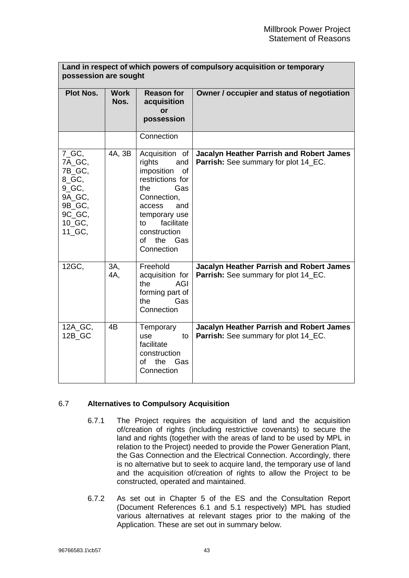|                                                                                                  | Land in respect of which powers of compulsory acquisition or temporary<br>possession are sought |                                                                                                                                                                                                                   |                                                                                                |
|--------------------------------------------------------------------------------------------------|-------------------------------------------------------------------------------------------------|-------------------------------------------------------------------------------------------------------------------------------------------------------------------------------------------------------------------|------------------------------------------------------------------------------------------------|
| <b>Plot Nos.</b>                                                                                 | <b>Work</b><br>Nos.                                                                             | <b>Reason for</b><br>acquisition<br>or<br>possession                                                                                                                                                              | Owner / occupier and status of negotiation                                                     |
|                                                                                                  |                                                                                                 | Connection                                                                                                                                                                                                        |                                                                                                |
| $7_GC$ ,<br>7A_GC,<br>7B GC,<br>8_GC,<br>9 GC,<br>9A GC,<br>9B_GC,<br>9C GC,<br>10 GC,<br>11 GC, | 4A, 3B                                                                                          | Acquisition of<br>rights<br>and<br>imposition<br><b>of</b><br>restrictions for<br>Gas<br>the.<br>Connection,<br>and<br>access<br>temporary use<br>facilitate<br>tο<br>construction<br>the Gas<br>∩f<br>Connection | Jacalyn Heather Parrish and Robert James<br><b>Parrish:</b> See summary for plot 14_EC.        |
| 12GC,                                                                                            | 3A,<br>4A,                                                                                      | Freehold<br>acquisition for<br><b>AGI</b><br>the<br>forming part of<br>Gas<br>the<br>Connection                                                                                                                   | <b>Jacalyn Heather Parrish and Robert James</b><br>Parrish: See summary for plot 14 EC.        |
| 12A_GC,<br>12B_GC                                                                                | 4B                                                                                              | Temporary<br>use<br>to<br>facilitate<br>construction<br>the<br>Gas<br>Ωf<br>Connection                                                                                                                            | <b>Jacalyn Heather Parrish and Robert James</b><br><b>Parrish:</b> See summary for plot 14_EC. |

## <span id="page-44-0"></span>6.7 **Alternatives to Compulsory Acquisition**

- 6.7.1 The Project requires the acquisition of land and the acquisition of/creation of rights (including restrictive covenants) to secure the land and rights (together with the areas of land to be used by MPL in relation to the Project) needed to provide the Power Generation Plant, the Gas Connection and the Electrical Connection. Accordingly, there is no alternative but to seek to acquire land, the temporary use of land and the acquisition of/creation of rights to allow the Project to be constructed, operated and maintained.
- 6.7.2 As set out in Chapter 5 of the ES and the Consultation Report (Document References 6.1 and 5.1 respectively) MPL has studied various alternatives at relevant stages prior to the making of the Application. These are set out in summary below.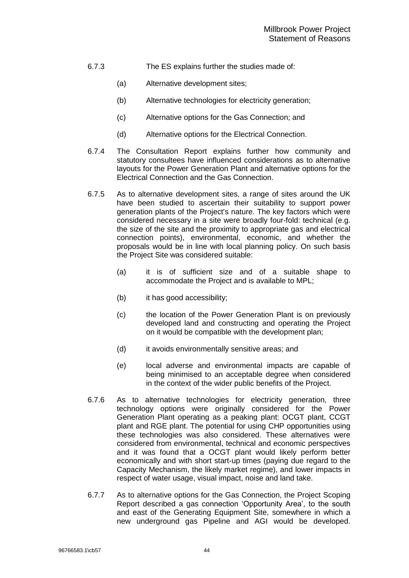- 6.7.3 The ES explains further the studies made of:
	- (a) Alternative development sites;
	- (b) Alternative technologies for electricity generation;
	- (c) Alternative options for the Gas Connection; and
	- (d) Alternative options for the Electrical Connection.
- 6.7.4 The Consultation Report explains further how community and statutory consultees have influenced considerations as to alternative layouts for the Power Generation Plant and alternative options for the Electrical Connection and the Gas Connection.
- 6.7.5 As to alternative development sites, a range of sites around the UK have been studied to ascertain their suitability to support power generation plants of the Project's nature. The key factors which were considered necessary in a site were broadly four-fold: technical (e.g. the size of the site and the proximity to appropriate gas and electrical connection points), environmental, economic, and whether the proposals would be in line with local planning policy. On such basis the Project Site was considered suitable:
	- (a) it is of sufficient size and of a suitable shape to accommodate the Project and is available to MPL;
	- (b) it has good accessibility;
	- (c) the location of the Power Generation Plant is on previously developed land and constructing and operating the Project on it would be compatible with the development plan;
	- (d) it avoids environmentally sensitive areas; and
	- (e) local adverse and environmental impacts are capable of being minimised to an acceptable degree when considered in the context of the wider public benefits of the Project.
- 6.7.6 As to alternative technologies for electricity generation, three technology options were originally considered for the Power Generation Plant operating as a peaking plant: OCGT plant, CCGT plant and RGE plant. The potential for using CHP opportunities using these technologies was also considered. These alternatives were considered from environmental, technical and economic perspectives and it was found that a OCGT plant would likely perform better economically and with short start-up times (paying due regard to the Capacity Mechanism, the likely market regime), and lower impacts in respect of water usage, visual impact, noise and land take.
- 6.7.7 As to alternative options for the Gas Connection, the Project Scoping Report described a gas connection 'Opportunity Area', to the south and east of the Generating Equipment Site, somewhere in which a new underground gas Pipeline and AGI would be developed.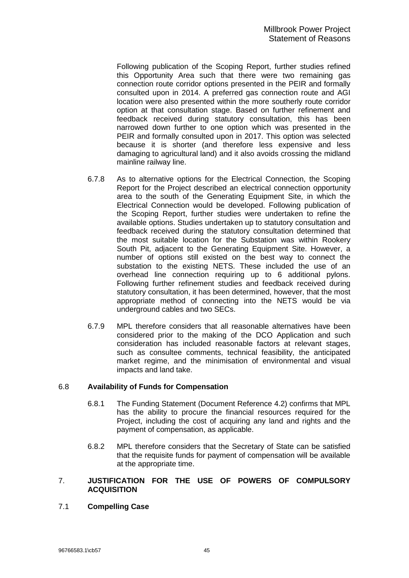<span id="page-46-0"></span>Following publication of the Scoping Report, further studies refined this Opportunity Area such that there were two remaining gas connection route corridor options presented in the PEIR and formally consulted upon in 2014. A preferred gas connection route and AGI location were also presented within the more southerly route corridor option at that consultation stage. Based on further refinement and feedback received during statutory consultation, this has been narrowed down further to one option which was presented in the PEIR and formally consulted upon in 2017. This option was selected because it is shorter (and therefore less expensive and less damaging to agricultural land) and it also avoids crossing the midland mainline railway line.

- 6.7.8 As to alternative options for the Electrical Connection, the Scoping Report for the Project described an electrical connection opportunity area to the south of the Generating Equipment Site, in which the Electrical Connection would be developed. Following publication of the Scoping Report, further studies were undertaken to refine the available options. Studies undertaken up to statutory consultation and feedback received during the statutory consultation determined that the most suitable location for the Substation was within Rookery South Pit, adjacent to the Generating Equipment Site. However, a number of options still existed on the best way to connect the substation to the existing NETS. These included the use of an overhead line connection requiring up to 6 additional pylons. Following further refinement studies and feedback received during statutory consultation, it has been determined, however, that the most appropriate method of connecting into the NETS would be via underground cables and two SECs.
- 6.7.9 MPL therefore considers that all reasonable alternatives have been considered prior to the making of the DCO Application and such consideration has included reasonable factors at relevant stages, such as consultee comments, technical feasibility, the anticipated market regime, and the minimisation of environmental and visual impacts and land take.

#### 6.8 **Availability of Funds for Compensation**

- 6.8.1 The Funding Statement (Document Reference 4.2) confirms that MPL has the ability to procure the financial resources required for the Project, including the cost of acquiring any land and rights and the payment of compensation, as applicable.
- 6.8.2 MPL therefore considers that the Secretary of State can be satisfied that the requisite funds for payment of compensation will be available at the appropriate time.

#### <span id="page-46-1"></span>7. **JUSTIFICATION FOR THE USE OF POWERS OF COMPULSORY ACQUISITION**

## 7.1 **Compelling Case**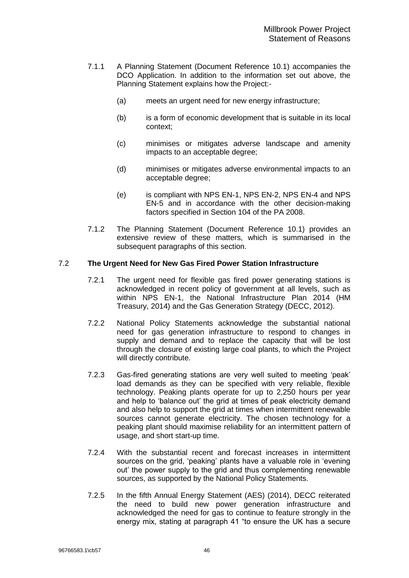- 7.1.1 A Planning Statement (Document Reference 10.1) accompanies the DCO Application. In addition to the information set out above, the Planning Statement explains how the Project:-
	- (a) meets an urgent need for new energy infrastructure;
	- (b) is a form of economic development that is suitable in its local context;
	- (c) minimises or mitigates adverse landscape and amenity impacts to an acceptable degree;
	- (d) minimises or mitigates adverse environmental impacts to an acceptable degree;
	- (e) is compliant with NPS EN-1, NPS EN-2, NPS EN-4 and NPS EN-5 and in accordance with the other decision-making factors specified in Section 104 of the PA 2008.
- 7.1.2 The Planning Statement (Document Reference 10.1) provides an extensive review of these matters, which is summarised in the subsequent paragraphs of this section.

## 7.2 **The Urgent Need for New Gas Fired Power Station Infrastructure**

- 7.2.1 The urgent need for flexible gas fired power generating stations is acknowledged in recent policy of government at all levels, such as within NPS EN-1, the National Infrastructure Plan 2014 (HM Treasury, 2014) and the Gas Generation Strategy (DECC, 2012).
- 7.2.2 National Policy Statements acknowledge the substantial national need for gas generation infrastructure to respond to changes in supply and demand and to replace the capacity that will be lost through the closure of existing large coal plants, to which the Project will directly contribute.
- 7.2.3 Gas-fired generating stations are very well suited to meeting 'peak' load demands as they can be specified with very reliable, flexible technology. Peaking plants operate for up to 2,250 hours per year and help to 'balance out' the grid at times of peak electricity demand and also help to support the grid at times when intermittent renewable sources cannot generate electricity. The chosen technology for a peaking plant should maximise reliability for an intermittent pattern of usage, and short start-up time.
- 7.2.4 With the substantial recent and forecast increases in intermittent sources on the grid, 'peaking' plants have a valuable role in 'evening out' the power supply to the grid and thus complementing renewable sources, as supported by the National Policy Statements.
- 7.2.5 In the fifth Annual Energy Statement (AES) (2014), DECC reiterated the need to build new power generation infrastructure and acknowledged the need for gas to continue to feature strongly in the energy mix, stating at paragraph 41 "to ensure the UK has a secure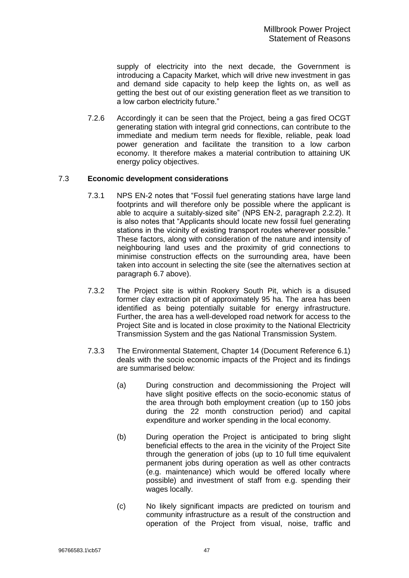supply of electricity into the next decade, the Government is introducing a Capacity Market, which will drive new investment in gas and demand side capacity to help keep the lights on, as well as getting the best out of our existing generation fleet as we transition to a low carbon electricity future."

7.2.6 Accordingly it can be seen that the Project, being a gas fired OCGT generating station with integral grid connections, can contribute to the immediate and medium term needs for flexible, reliable, peak load power generation and facilitate the transition to a low carbon economy. It therefore makes a material contribution to attaining UK energy policy objectives.

## 7.3 **Economic development considerations**

- 7.3.1 NPS EN-2 notes that "Fossil fuel generating stations have large land footprints and will therefore only be possible where the applicant is able to acquire a suitably-sized site" (NPS EN-2, paragraph 2.2.2). It is also notes that "Applicants should locate new fossil fuel generating stations in the vicinity of existing transport routes wherever possible." These factors, along with consideration of the nature and intensity of neighbouring land uses and the proximity of grid connections to minimise construction effects on the surrounding area, have been taken into account in selecting the site (see the alternatives section at paragraph [6.7](#page-44-0) above).
- 7.3.2 The Project site is within Rookery South Pit, which is a disused former clay extraction pit of approximately 95 ha. The area has been identified as being potentially suitable for energy infrastructure. Further, the area has a well-developed road network for access to the Project Site and is located in close proximity to the National Electricity Transmission System and the gas National Transmission System.
- 7.3.3 The Environmental Statement, Chapter 14 (Document Reference 6.1) deals with the socio economic impacts of the Project and its findings are summarised below:
	- (a) During construction and decommissioning the Project will have slight positive effects on the socio-economic status of the area through both employment creation (up to 150 jobs during the 22 month construction period) and capital expenditure and worker spending in the local economy.
	- (b) During operation the Project is anticipated to bring slight beneficial effects to the area in the vicinity of the Project Site through the generation of jobs (up to 10 full time equivalent permanent jobs during operation as well as other contracts (e.g. maintenance) which would be offered locally where possible) and investment of staff from e.g. spending their wages locally.
	- (c) No likely significant impacts are predicted on tourism and community infrastructure as a result of the construction and operation of the Project from visual, noise, traffic and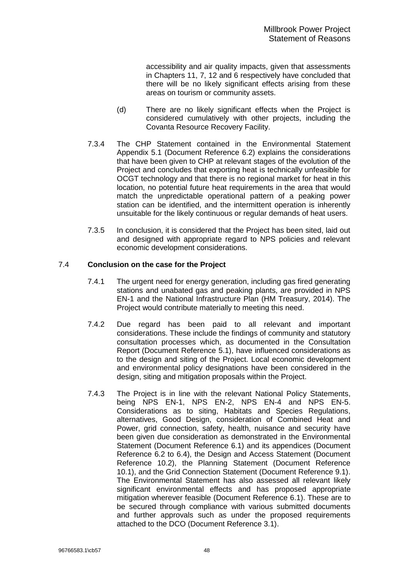accessibility and air quality impacts, given that assessments in Chapters 11, 7, 12 and 6 respectively have concluded that there will be no likely significant effects arising from these areas on tourism or community assets.

- (d) There are no likely significant effects when the Project is considered cumulatively with other projects, including the Covanta Resource Recovery Facility.
- 7.3.4 The CHP Statement contained in the Environmental Statement Appendix 5.1 (Document Reference 6.2) explains the considerations that have been given to CHP at relevant stages of the evolution of the Project and concludes that exporting heat is technically unfeasible for OCGT technology and that there is no regional market for heat in this location, no potential future heat requirements in the area that would match the unpredictable operational pattern of a peaking power station can be identified, and the intermittent operation is inherently unsuitable for the likely continuous or regular demands of heat users.
- 7.3.5 In conclusion, it is considered that the Project has been sited, laid out and designed with appropriate regard to NPS policies and relevant economic development considerations.

## 7.4 **Conclusion on the case for the Project**

- 7.4.1 The urgent need for energy generation, including gas fired generating stations and unabated gas and peaking plants, are provided in NPS EN-1 and the National Infrastructure Plan (HM Treasury, 2014). The Project would contribute materially to meeting this need.
- 7.4.2 Due regard has been paid to all relevant and important considerations. These include the findings of community and statutory consultation processes which, as documented in the Consultation Report (Document Reference 5.1), have influenced considerations as to the design and siting of the Project. Local economic development and environmental policy designations have been considered in the design, siting and mitigation proposals within the Project.
- 7.4.3 The Project is in line with the relevant National Policy Statements, being NPS EN-1, NPS EN-2, NPS EN-4 and NPS EN-5. Considerations as to siting, Habitats and Species Regulations, alternatives, Good Design, consideration of Combined Heat and Power, grid connection, safety, health, nuisance and security have been given due consideration as demonstrated in the Environmental Statement (Document Reference 6.1) and its appendices (Document Reference 6.2 to 6.4), the Design and Access Statement (Document Reference 10.2), the Planning Statement (Document Reference 10.1), and the Grid Connection Statement (Document Reference 9.1). The Environmental Statement has also assessed all relevant likely significant environmental effects and has proposed appropriate mitigation wherever feasible (Document Reference 6.1). These are to be secured through compliance with various submitted documents and further approvals such as under the proposed requirements attached to the DCO (Document Reference 3.1).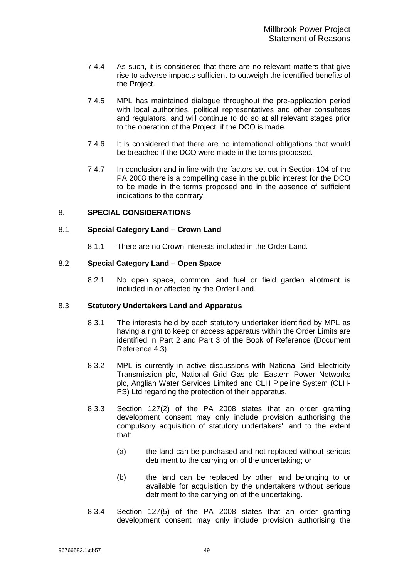- <span id="page-50-0"></span>7.4.4 As such, it is considered that there are no relevant matters that give rise to adverse impacts sufficient to outweigh the identified benefits of the Project.
- 7.4.5 MPL has maintained dialogue throughout the pre-application period with local authorities, political representatives and other consultees and regulators, and will continue to do so at all relevant stages prior to the operation of the Project, if the DCO is made.
- 7.4.6 It is considered that there are no international obligations that would be breached if the DCO were made in the terms proposed.
- 7.4.7 In conclusion and in line with the factors set out in Section 104 of the PA 2008 there is a compelling case in the public interest for the DCO to be made in the terms proposed and in the absence of sufficient indications to the contrary.

## <span id="page-50-1"></span>8. **SPECIAL CONSIDERATIONS**

#### 8.1 **Special Category Land – Crown Land**

8.1.1 There are no Crown interests included in the Order Land.

#### 8.2 **Special Category Land – Open Space**

8.2.1 No open space, common land fuel or field garden allotment is included in or affected by the Order Land.

#### <span id="page-50-2"></span>8.3 **Statutory Undertakers Land and Apparatus**

- 8.3.1 The interests held by each statutory undertaker identified by MPL as having a right to keep or access apparatus within the Order Limits are identified in Part 2 and Part 3 of the Book of Reference (Document Reference 4.3).
- 8.3.2 MPL is currently in active discussions with National Grid Electricity Transmission plc, National Grid Gas plc, Eastern Power Networks plc, Anglian Water Services Limited and CLH Pipeline System (CLH-PS) Ltd regarding the protection of their apparatus.
- 8.3.3 Section 127(2) of the PA 2008 states that an order granting development consent may only include provision authorising the compulsory acquisition of statutory undertakers' land to the extent that:
	- (a) the land can be purchased and not replaced without serious detriment to the carrying on of the undertaking; or
	- (b) the land can be replaced by other land belonging to or available for acquisition by the undertakers without serious detriment to the carrying on of the undertaking.
- 8.3.4 Section 127(5) of the PA 2008 states that an order granting development consent may only include provision authorising the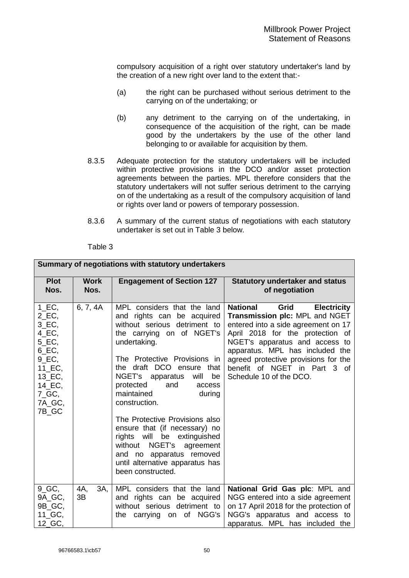compulsory acquisition of a right over statutory undertaker's land by the creation of a new right over land to the extent that:-

- (a) the right can be purchased without serious detriment to the carrying on of the undertaking; or
- (b) any detriment to the carrying on of the undertaking, in consequence of the acquisition of the right, can be made good by the undertakers by the use of the other land belonging to or available for acquisition by them.
- 8.3.5 Adequate protection for the statutory undertakers will be included within protective provisions in the DCO and/or asset protection agreements between the parties. MPL therefore considers that the statutory undertakers will not suffer serious detriment to the carrying on of the undertaking as a result of the compulsory acquisition of land or rights over land or powers of temporary possession.
- 8.3.6 A summary of the current status of negotiations with each statutory undertaker is set out in Table 3 below.

|                                                                                                                                                                                                                      | Summary of negotiations with statutory undertakers |                                                                                                                                                                                                                                                                                                                                                                                                                                                                                                                                |                                                                                                                                                                                                                                                                                                                                    |  |  |  |
|----------------------------------------------------------------------------------------------------------------------------------------------------------------------------------------------------------------------|----------------------------------------------------|--------------------------------------------------------------------------------------------------------------------------------------------------------------------------------------------------------------------------------------------------------------------------------------------------------------------------------------------------------------------------------------------------------------------------------------------------------------------------------------------------------------------------------|------------------------------------------------------------------------------------------------------------------------------------------------------------------------------------------------------------------------------------------------------------------------------------------------------------------------------------|--|--|--|
| <b>Plot</b><br>Nos.                                                                                                                                                                                                  | <b>Work</b><br>Nos.                                | <b>Engagement of Section 127</b>                                                                                                                                                                                                                                                                                                                                                                                                                                                                                               | <b>Statutory undertaker and status</b><br>of negotiation                                                                                                                                                                                                                                                                           |  |  |  |
| $1\_EC$ ,<br>$2$ EC,<br>3_EC,<br>$4$ <sub>_</sub> EC <sub>,</sub><br>5_EC,<br>$6$ EC,<br>$9$ <sub>_</sub> EC,<br>$11$ <sub>_</sub> EC,<br>$13$ <sub>_</sub> EC <sub>,</sub><br>14 EC,<br>$7_GC$ ,<br>7A GC,<br>7B_GC | 6, 7, 4A                                           | MPL considers that the land<br>and rights can be acquired<br>without serious detriment to<br>the carrying on of NGET's<br>undertaking.<br>The Protective Provisions in<br>the draft DCO ensure<br>that<br>NGET's apparatus will<br>be<br>protected<br>and<br>access<br>maintained<br>during<br>construction.<br>The Protective Provisions also<br>ensure that (if necessary) no<br>rights will be extinguished<br>without NGET's agreement<br>and no apparatus removed<br>until alternative apparatus has<br>been constructed. | <b>National</b><br>Grid<br><b>Electricity</b><br>Transmission plc: MPL and NGET<br>entered into a side agreement on 17<br>April 2018 for the protection of<br>NGET's apparatus and access to<br>apparatus. MPL has included the<br>agreed protective provisions for the<br>benefit of NGET in Part 3 of<br>Schedule 10 of the DCO. |  |  |  |
| $9_GC$ ,<br>9A_GC,<br>9B_GC,<br>11_GC,<br>12_GC,                                                                                                                                                                     | 3A,<br>4A,<br>3B                                   | MPL considers that the land<br>and rights can be acquired<br>without serious detriment to<br>the carrying on of NGG's                                                                                                                                                                                                                                                                                                                                                                                                          | National Grid Gas plc: MPL and<br>NGG entered into a side agreement<br>on 17 April 2018 for the protection of<br>NGG's apparatus and access to<br>apparatus. MPL has included the                                                                                                                                                  |  |  |  |

#### Table 3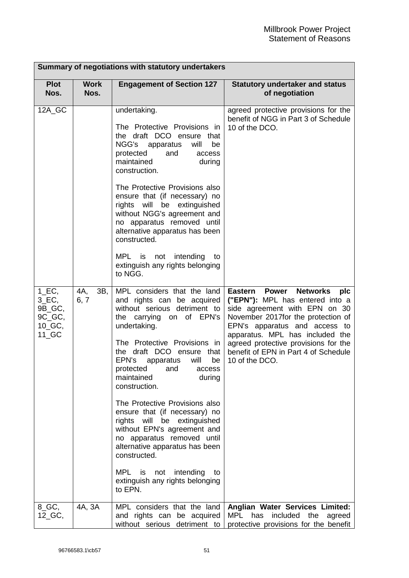|                                                                            | Summary of negotiations with statutory undertakers |                                                                                                                                                                                                               |                                                                                                                                                                                                                                 |  |  |  |  |
|----------------------------------------------------------------------------|----------------------------------------------------|---------------------------------------------------------------------------------------------------------------------------------------------------------------------------------------------------------------|---------------------------------------------------------------------------------------------------------------------------------------------------------------------------------------------------------------------------------|--|--|--|--|
| <b>Plot</b><br>Nos.                                                        | <b>Work</b><br>Nos.                                | <b>Engagement of Section 127</b>                                                                                                                                                                              | <b>Statutory undertaker and status</b><br>of negotiation                                                                                                                                                                        |  |  |  |  |
| 12A_GC                                                                     |                                                    | undertaking.<br>The Protective Provisions in<br>the draft DCO ensure that<br>NGG's<br>will<br>apparatus<br>be<br>protected<br>and<br>access<br>maintained<br>during<br>construction.                          | agreed protective provisions for the<br>benefit of NGG in Part 3 of Schedule<br>10 of the DCO.                                                                                                                                  |  |  |  |  |
|                                                                            |                                                    | The Protective Provisions also<br>ensure that (if necessary) no<br>rights will be extinguished<br>without NGG's agreement and<br>no apparatus removed until<br>alternative apparatus has been<br>constructed. |                                                                                                                                                                                                                                 |  |  |  |  |
|                                                                            |                                                    | MPL<br>intending<br>is<br>not<br>to<br>extinguish any rights belonging<br>to NGG.                                                                                                                             |                                                                                                                                                                                                                                 |  |  |  |  |
| $1\_EC$ ,<br>$3$ EC,<br>9B_GC,<br>9C_GC,<br>$10$ <sub>_</sub> GC,<br>11 GC | 4A,<br>3B,<br>6, 7                                 | MPL considers that the land<br>and rights can be acquired<br>without serious detriment to<br>the carrying on of EPN's<br>undertaking.                                                                         | <b>Power</b><br><b>Networks</b><br>plc<br>Eastern<br>("EPN"): MPL has entered into a<br>side agreement with EPN on 30<br>November 2017for the protection of<br>EPN's apparatus and access to<br>apparatus. MPL has included the |  |  |  |  |
|                                                                            |                                                    | The Protective Provisions in<br>the draft DCO ensure that<br>will<br>EPN's<br>apparatus<br>be<br>protected<br>and<br>access<br>maintained<br>during<br>construction.                                          | agreed protective provisions for the<br>benefit of EPN in Part 4 of Schedule<br>10 of the DCO.                                                                                                                                  |  |  |  |  |
|                                                                            |                                                    | The Protective Provisions also<br>ensure that (if necessary) no<br>rights will be extinguished<br>without EPN's agreement and<br>no apparatus removed until<br>alternative apparatus has been<br>constructed. |                                                                                                                                                                                                                                 |  |  |  |  |
|                                                                            |                                                    | MPL is not<br>intending<br>to<br>extinguish any rights belonging<br>to EPN.                                                                                                                                   |                                                                                                                                                                                                                                 |  |  |  |  |
| 8_GC,<br>12_GC,                                                            | 4A, 3A                                             | MPL considers that the land<br>and rights can be acquired                                                                                                                                                     | Anglian Water Services Limited:<br><b>MPL</b><br>included<br>the<br>has<br>agreed                                                                                                                                               |  |  |  |  |
|                                                                            |                                                    | without serious detriment to                                                                                                                                                                                  | protective provisions for the benefit                                                                                                                                                                                           |  |  |  |  |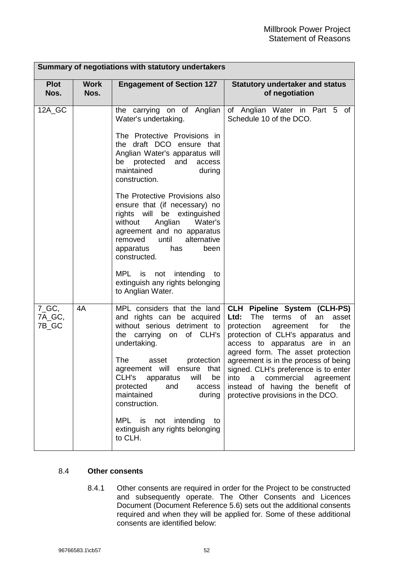| Summary of negotiations with statutory undertakers |                     |                                                                                                                                                                                                                                              |                                                                                                                                                                                                                                |  |  |  |
|----------------------------------------------------|---------------------|----------------------------------------------------------------------------------------------------------------------------------------------------------------------------------------------------------------------------------------------|--------------------------------------------------------------------------------------------------------------------------------------------------------------------------------------------------------------------------------|--|--|--|
| <b>Plot</b><br>Nos.                                | <b>Work</b><br>Nos. | <b>Engagement of Section 127</b>                                                                                                                                                                                                             | <b>Statutory undertaker and status</b><br>of negotiation                                                                                                                                                                       |  |  |  |
| 12A_GC                                             |                     | the carrying on of Anglian<br>Water's undertaking.                                                                                                                                                                                           | of Anglian Water in Part 5<br>of<br>Schedule 10 of the DCO.                                                                                                                                                                    |  |  |  |
|                                                    |                     | The Protective Provisions in<br>the draft DCO ensure that<br>Anglian Water's apparatus will<br>protected<br>and<br>be<br>access<br>maintained<br>during<br>construction.                                                                     |                                                                                                                                                                                                                                |  |  |  |
|                                                    |                     | The Protective Provisions also<br>ensure that (if necessary) no<br>rights will be extinguished<br>Anglian<br>without<br>Water's<br>agreement and no apparatus<br>alternative<br>removed<br>until<br>been<br>apparatus<br>has<br>constructed. |                                                                                                                                                                                                                                |  |  |  |
|                                                    |                     | MPL is not<br>intending<br>to<br>extinguish any rights belonging<br>to Anglian Water.                                                                                                                                                        |                                                                                                                                                                                                                                |  |  |  |
| $7_GC$ ,<br>7A_GC,<br>7B_GC                        | 4A                  | MPL considers that the land<br>and rights can be acquired<br>without serious detriment to<br>the carrying on of CLH's<br>undertaking.                                                                                                        | <b>CLH Pipeline System (CLH-PS)</b><br>Ltd:<br>terms of<br>The<br>an<br>asset<br>protection<br>agreement for<br>the<br>protection of CLH's apparatus and<br>access to apparatus are in an<br>agreed form. The asset protection |  |  |  |
|                                                    |                     | The<br>protection<br>asset<br>agreement will<br>ensure that<br>CLH's apparatus<br>will<br>be<br>protected<br>and<br>access<br>maintained<br>during<br>construction.                                                                          | agreement is in the process of being<br>signed. CLH's preference is to enter<br>into a commercial<br>agreement<br>instead of having the benefit of<br>protective provisions in the DCO.                                        |  |  |  |
|                                                    |                     | MPL is not intending<br>to<br>extinguish any rights belonging<br>to CLH.                                                                                                                                                                     |                                                                                                                                                                                                                                |  |  |  |

## 8.4 **Other consents**

8.4.1 Other consents are required in order for the Project to be constructed and subsequently operate. The Other Consents and Licences Document (Document Reference 5.6) sets out the additional consents required and when they will be applied for. Some of these additional consents are identified below: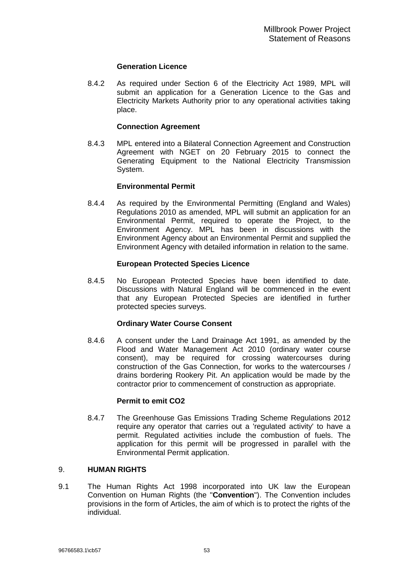## **Generation Licence**

<span id="page-54-0"></span>8.4.2 As required under Section 6 of the Electricity Act 1989, MPL will submit an application for a Generation Licence to the Gas and Electricity Markets Authority prior to any operational activities taking place.

## **Connection Agreement**

8.4.3 MPL entered into a Bilateral Connection Agreement and Construction Agreement with NGET on 20 February 2015 to connect the Generating Equipment to the National Electricity Transmission System.

## **Environmental Permit**

8.4.4 As required by the Environmental Permitting (England and Wales) Regulations 2010 as amended, MPL will submit an application for an Environmental Permit, required to operate the Project, to the Environment Agency. MPL has been in discussions with the Environment Agency about an Environmental Permit and supplied the Environment Agency with detailed information in relation to the same.

## **European Protected Species Licence**

8.4.5 No European Protected Species have been identified to date. Discussions with Natural England will be commenced in the event that any European Protected Species are identified in further protected species surveys.

## **Ordinary Water Course Consent**

8.4.6 A consent under the Land Drainage Act 1991, as amended by the Flood and Water Management Act 2010 (ordinary water course consent), may be required for crossing watercourses during construction of the Gas Connection, for works to the watercourses / drains bordering Rookery Pit. An application would be made by the contractor prior to commencement of construction as appropriate.

## **Permit to emit CO2**

8.4.7 The Greenhouse Gas Emissions Trading Scheme Regulations 2012 require any operator that carries out a 'regulated activity' to have a permit. Regulated activities include the combustion of fuels. The application for this permit will be progressed in parallel with the Environmental Permit application.

## <span id="page-54-1"></span>9. **HUMAN RIGHTS**

9.1 The Human Rights Act 1998 incorporated into UK law the European Convention on Human Rights (the "**Convention**"). The Convention includes provisions in the form of Articles, the aim of which is to protect the rights of the individual.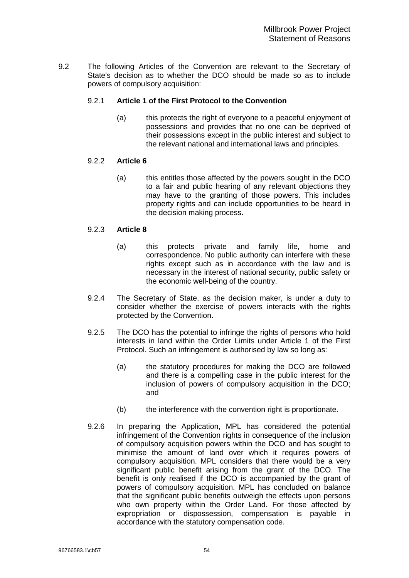9.2 The following Articles of the Convention are relevant to the Secretary of State's decision as to whether the DCO should be made so as to include powers of compulsory acquisition:

## 9.2.1 **Article 1 of the First Protocol to the Convention**

(a) this protects the right of everyone to a peaceful enjoyment of possessions and provides that no one can be deprived of their possessions except in the public interest and subject to the relevant national and international laws and principles.

## 9.2.2 **Article 6**

(a) this entitles those affected by the powers sought in the DCO to a fair and public hearing of any relevant objections they may have to the granting of those powers. This includes property rights and can include opportunities to be heard in the decision making process.

#### 9.2.3 **Article 8**

- (a) this protects private and family life, home and correspondence. No public authority can interfere with these rights except such as in accordance with the law and is necessary in the interest of national security, public safety or the economic well-being of the country.
- 9.2.4 The Secretary of State, as the decision maker, is under a duty to consider whether the exercise of powers interacts with the rights protected by the Convention.
- 9.2.5 The DCO has the potential to infringe the rights of persons who hold interests in land within the Order Limits under Article 1 of the First Protocol. Such an infringement is authorised by law so long as:
	- (a) the statutory procedures for making the DCO are followed and there is a compelling case in the public interest for the inclusion of powers of compulsory acquisition in the DCO; and
	- (b) the interference with the convention right is proportionate.
- 9.2.6 In preparing the Application, MPL has considered the potential infringement of the Convention rights in consequence of the inclusion of compulsory acquisition powers within the DCO and has sought to minimise the amount of land over which it requires powers of compulsory acquisition. MPL considers that there would be a very significant public benefit arising from the grant of the DCO. The benefit is only realised if the DCO is accompanied by the grant of powers of compulsory acquisition. MPL has concluded on balance that the significant public benefits outweigh the effects upon persons who own property within the Order Land. For those affected by expropriation or dispossession, compensation is payable in accordance with the statutory compensation code.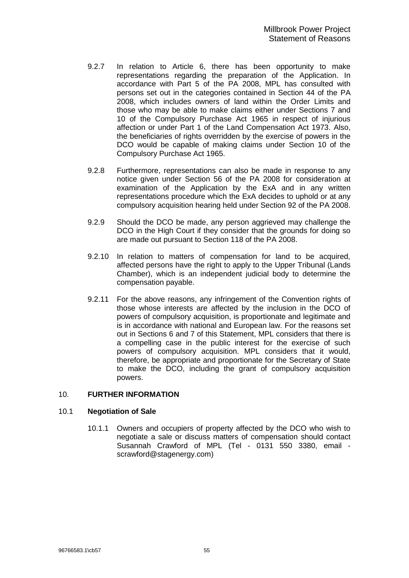- <span id="page-56-0"></span>9.2.7 In relation to Article 6, there has been opportunity to make representations regarding the preparation of the Application. In accordance with Part 5 of the PA 2008, MPL has consulted with persons set out in the categories contained in Section 44 of the PA 2008, which includes owners of land within the Order Limits and those who may be able to make claims either under Sections 7 and 10 of the Compulsory Purchase Act 1965 in respect of injurious affection or under Part 1 of the Land Compensation Act 1973. Also, the beneficiaries of rights overridden by the exercise of powers in the DCO would be capable of making claims under Section 10 of the Compulsory Purchase Act 1965.
- 9.2.8 Furthermore, representations can also be made in response to any notice given under Section 56 of the PA 2008 for consideration at examination of the Application by the ExA and in any written representations procedure which the ExA decides to uphold or at any compulsory acquisition hearing held under Section 92 of the PA 2008.
- 9.2.9 Should the DCO be made, any person aggrieved may challenge the DCO in the High Court if they consider that the grounds for doing so are made out pursuant to Section 118 of the PA 2008.
- 9.2.10 In relation to matters of compensation for land to be acquired, affected persons have the right to apply to the Upper Tribunal (Lands Chamber), which is an independent judicial body to determine the compensation payable.
- 9.2.11 For the above reasons, any infringement of the Convention rights of those whose interests are affected by the inclusion in the DCO of powers of compulsory acquisition, is proportionate and legitimate and is in accordance with national and European law. For the reasons set out in Sections [6](#page-31-1) and [7](#page-46-1) of this Statement, MPL considers that there is a compelling case in the public interest for the exercise of such powers of compulsory acquisition. MPL considers that it would, therefore, be appropriate and proportionate for the Secretary of State to make the DCO, including the grant of compulsory acquisition powers.

## <span id="page-56-1"></span>10. **FURTHER INFORMATION**

#### 10.1 **Negotiation of Sale**

10.1.1 Owners and occupiers of property affected by the DCO who wish to negotiate a sale or discuss matters of compensation should contact Susannah Crawford of MPL (Tel - 0131 550 3380, email scrawford@stagenergy.com)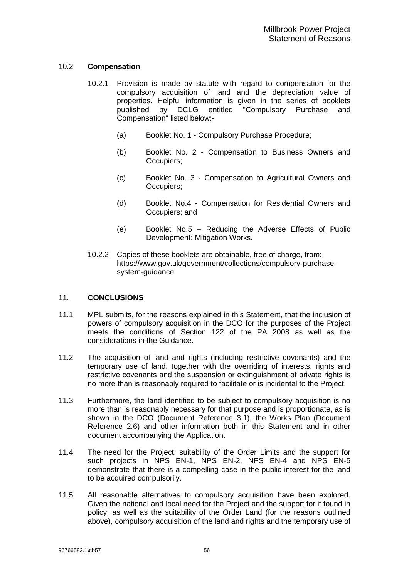## <span id="page-57-0"></span>10.2 **Compensation**

- 10.2.1 Provision is made by statute with regard to compensation for the compulsory acquisition of land and the depreciation value of properties. Helpful information is given in the series of booklets published by DCLG entitled "Compulsory Purchase and Compensation" listed below:-
	- (a) Booklet No. 1 Compulsory Purchase Procedure;
	- (b) Booklet No. 2 Compensation to Business Owners and Occupiers;
	- (c) Booklet No. 3 Compensation to Agricultural Owners and Occupiers;
	- (d) Booklet No.4 Compensation for Residential Owners and Occupiers; and
	- (e) Booklet No.5 Reducing the Adverse Effects of Public Development: Mitigation Works.
- 10.2.2 Copies of these booklets are obtainable, free of charge, from: https://www.gov.uk/government/collections/compulsory-purchasesystem-guidance

## 11. **CONCLUSIONS**

- 11.1 MPL submits, for the reasons explained in this Statement, that the inclusion of powers of compulsory acquisition in the DCO for the purposes of the Project meets the conditions of Section 122 of the PA 2008 as well as the considerations in the Guidance.
- 11.2 The acquisition of land and rights (including restrictive covenants) and the temporary use of land, together with the overriding of interests, rights and restrictive covenants and the suspension or extinguishment of private rights is no more than is reasonably required to facilitate or is incidental to the Project.
- 11.3 Furthermore, the land identified to be subject to compulsory acquisition is no more than is reasonably necessary for that purpose and is proportionate, as is shown in the DCO (Document Reference 3.1), the Works Plan (Document Reference 2.6) and other information both in this Statement and in other document accompanying the Application.
- 11.4 The need for the Project, suitability of the Order Limits and the support for such projects in NPS EN-1, NPS EN-2, NPS EN-4 and NPS EN-5 demonstrate that there is a compelling case in the public interest for the land to be acquired compulsorily.
- 11.5 All reasonable alternatives to compulsory acquisition have been explored. Given the national and local need for the Project and the support for it found in policy, as well as the suitability of the Order Land (for the reasons outlined above), compulsory acquisition of the land and rights and the temporary use of